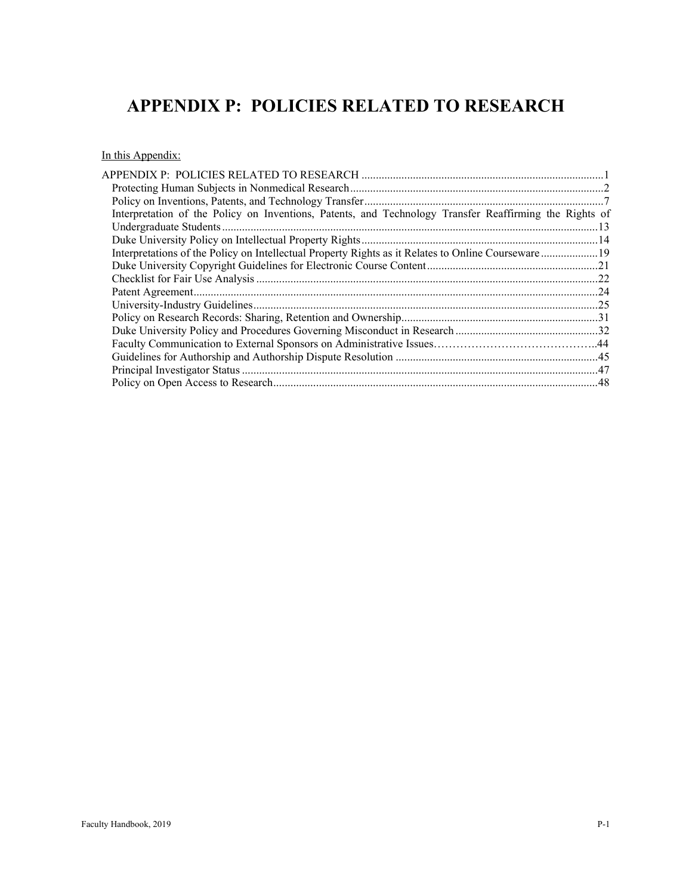# **APPENDIX P: POLICIES RELATED TO RESEARCH**

In this Appendix:

| Interpretation of the Policy on Inventions, Patents, and Technology Transfer Reaffirming the Rights of |  |
|--------------------------------------------------------------------------------------------------------|--|
|                                                                                                        |  |
|                                                                                                        |  |
| Interpretations of the Policy on Intellectual Property Rights as it Relates to Online Courseware19     |  |
|                                                                                                        |  |
|                                                                                                        |  |
|                                                                                                        |  |
|                                                                                                        |  |
|                                                                                                        |  |
|                                                                                                        |  |
|                                                                                                        |  |
|                                                                                                        |  |
|                                                                                                        |  |
|                                                                                                        |  |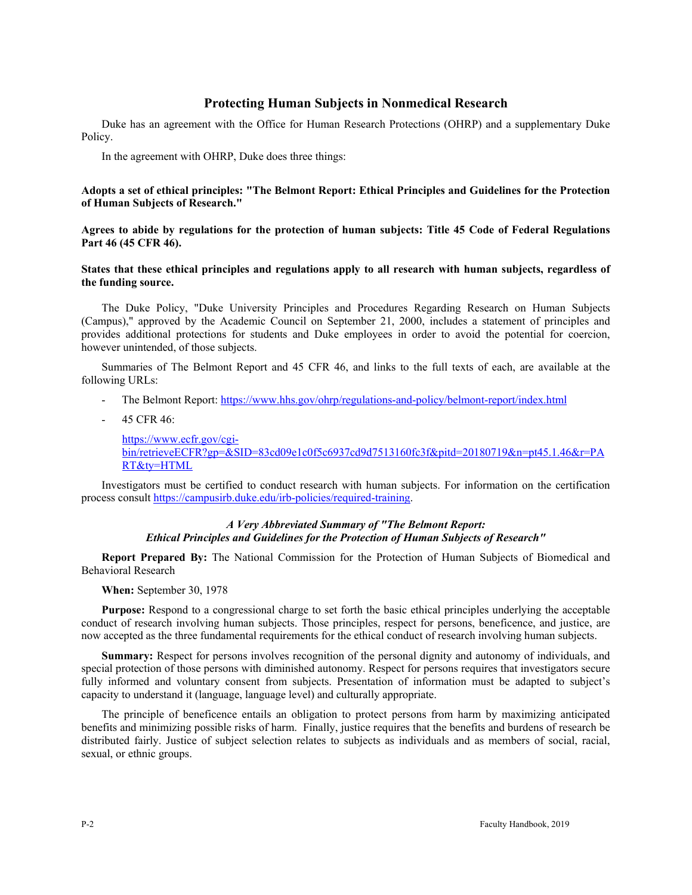# **Protecting Human Subjects in Nonmedical Research**

Duke has an agreement with the Office for Human Research Protections (OHRP) and a supplementary Duke Policy.

In the agreement with OHRP, Duke does three things:

#### **Adopts a set of ethical principles: "The Belmont Report: Ethical Principles and Guidelines for the Protection of Human Subjects of Research."**

**Agrees to abide by regulations for the protection of human subjects: Title 45 Code of Federal Regulations Part 46 (45 CFR 46).**

# **States that these ethical principles and regulations apply to all research with human subjects, regardless of the funding source.**

The Duke Policy, "Duke University Principles and Procedures Regarding Research on Human Subjects (Campus)," approved by the Academic Council on September 21, 2000, includes a statement of principles and provides additional protections for students and Duke employees in order to avoid the potential for coercion, however unintended, of those subjects.

Summaries of The Belmont Report and 45 CFR 46, and links to the full texts of each, are available at the following URLs:

- The Belmont Report:<https://www.hhs.gov/ohrp/regulations-and-policy/belmont-report/index.html>
- 45 CFR 46:

[https://www.ecfr.gov/cgi](https://www.ecfr.gov/cgi-bin/retrieveECFR?gp=&SID=83cd09e1c0f5c6937cd9d7513160fc3f&pitd=20180719&n=pt45.1.46&r=PART&ty=HTML)[bin/retrieveECFR?gp=&SID=83cd09e1c0f5c6937cd9d7513160fc3f&pitd=20180719&n=pt45.1.46&r=PA](https://www.ecfr.gov/cgi-bin/retrieveECFR?gp=&SID=83cd09e1c0f5c6937cd9d7513160fc3f&pitd=20180719&n=pt45.1.46&r=PART&ty=HTML) [RT&ty=HTML](https://www.ecfr.gov/cgi-bin/retrieveECFR?gp=&SID=83cd09e1c0f5c6937cd9d7513160fc3f&pitd=20180719&n=pt45.1.46&r=PART&ty=HTML)

Investigators must be certified to conduct research with human subjects. For information on the certification process consult [https://campusirb.duke.edu/irb-policies/required-training.](https://campusirb.duke.edu/irb-policies/required-training)

#### *A Very Abbreviated Summary of "The Belmont Report: Ethical Principles and Guidelines for the Protection of Human Subjects of Research"*

**Report Prepared By:** The National Commission for the Protection of Human Subjects of Biomedical and Behavioral Research

**When:** September 30, 1978

**Purpose:** Respond to a congressional charge to set forth the basic ethical principles underlying the acceptable conduct of research involving human subjects. Those principles, respect for persons, beneficence, and justice, are now accepted as the three fundamental requirements for the ethical conduct of research involving human subjects.

**Summary:** Respect for persons involves recognition of the personal dignity and autonomy of individuals, and special protection of those persons with diminished autonomy. Respect for persons requires that investigators secure fully informed and voluntary consent from subjects. Presentation of information must be adapted to subject's capacity to understand it (language, language level) and culturally appropriate.

The principle of beneficence entails an obligation to protect persons from harm by maximizing anticipated benefits and minimizing possible risks of harm. Finally, justice requires that the benefits and burdens of research be distributed fairly. Justice of subject selection relates to subjects as individuals and as members of social, racial, sexual, or ethnic groups.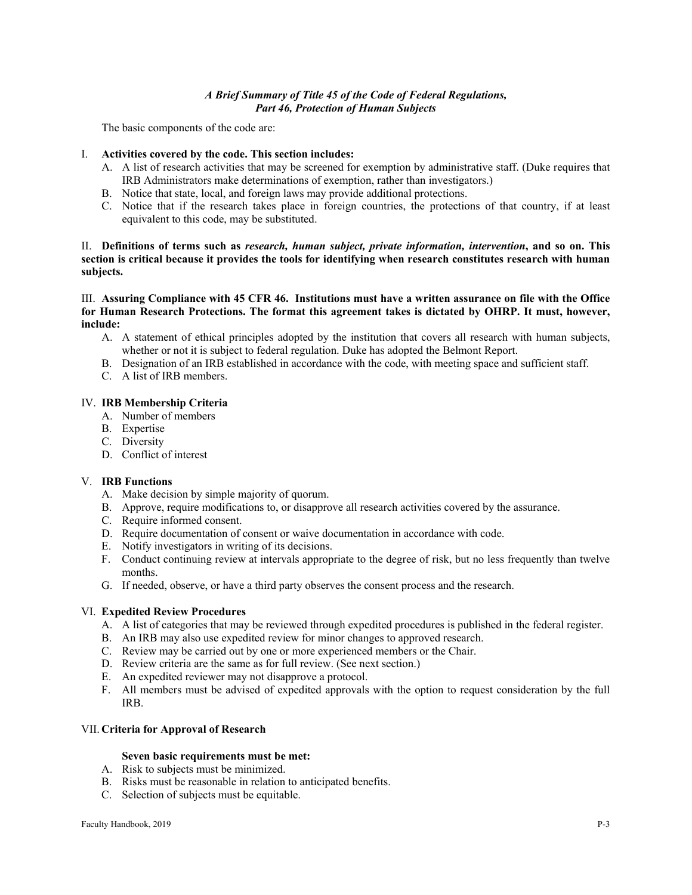# *A Brief Summary of Title 45 of the Code of Federal Regulations, Part 46, Protection of Human Subjects*

The basic components of the code are:

# I. **Activities covered by the code. This section includes:**

- A. A list of research activities that may be screened for exemption by administrative staff. (Duke requires that IRB Administrators make determinations of exemption, rather than investigators.)
- B. Notice that state, local, and foreign laws may provide additional protections.
- C. Notice that if the research takes place in foreign countries, the protections of that country, if at least equivalent to this code, may be substituted.

# II. **Definitions of terms such as** *research, human subject, private information, intervention***, and so on. This section is critical because it provides the tools for identifying when research constitutes research with human subjects.**

III. **Assuring Compliance with 45 CFR 46. Institutions must have a written assurance on file with the Office for Human Research Protections. The format this agreement takes is dictated by OHRP. It must, however, include:**

- A. A statement of ethical principles adopted by the institution that covers all research with human subjects, whether or not it is subject to federal regulation. Duke has adopted the Belmont Report.
- B. Designation of an IRB established in accordance with the code, with meeting space and sufficient staff.
- C. A list of IRB members.

#### IV. **IRB Membership Criteria**

- A. Number of members
- B. Expertise
- C. Diversity
- D. Conflict of interest

#### V. **IRB Functions**

- A. Make decision by simple majority of quorum.
- B. Approve, require modifications to, or disapprove all research activities covered by the assurance.
- C. Require informed consent.
- D. Require documentation of consent or waive documentation in accordance with code.
- E. Notify investigators in writing of its decisions.
- F. Conduct continuing review at intervals appropriate to the degree of risk, but no less frequently than twelve months.
- G. If needed, observe, or have a third party observes the consent process and the research.

# VI. **Expedited Review Procedures**

- A. A list of categories that may be reviewed through expedited procedures is published in the federal register.
- B. An IRB may also use expedited review for minor changes to approved research.
- C. Review may be carried out by one or more experienced members or the Chair.
- D. Review criteria are the same as for full review. (See next section.)
- E. An expedited reviewer may not disapprove a protocol.
- F. All members must be advised of expedited approvals with the option to request consideration by the full IRB.

#### VII. **Criteria for Approval of Research**

#### **Seven basic requirements must be met:**

- A. Risk to subjects must be minimized.
- B. Risks must be reasonable in relation to anticipated benefits.
- C. Selection of subjects must be equitable.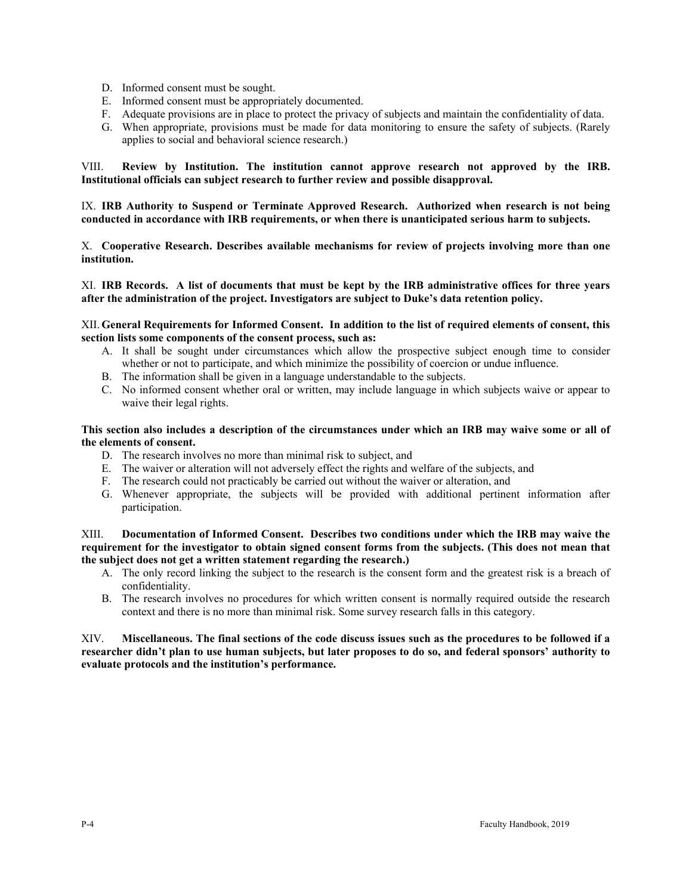- D. Informed consent must be sought.
- E. Informed consent must be appropriately documented.
- F. Adequate provisions are in place to protect the privacy of subjects and maintain the confidentiality of data.
- G. When appropriate, provisions must be made for data monitoring to ensure the safety of subjects. (Rarely applies to social and behavioral science research.)

VIII. **Review by Institution. The institution cannot approve research not approved by the IRB. Institutional officials can subject research to further review and possible disapproval.**

IX. **IRB Authority to Suspend or Terminate Approved Research. Authorized when research is not being conducted in accordance with IRB requirements, or when there is unanticipated serious harm to subjects.**

X. **Cooperative Research. Describes available mechanisms for review of projects involving more than one institution.** 

XI. **IRB Records. A list of documents that must be kept by the IRB administrative offices for three years after the administration of the project. Investigators are subject to Duke's data retention policy.**

XII. **General Requirements for Informed Consent. In addition to the list of required elements of consent, this section lists some components of the consent process, such as:**

- A. It shall be sought under circumstances which allow the prospective subject enough time to consider whether or not to participate, and which minimize the possibility of coercion or undue influence.
- B. The information shall be given in a language understandable to the subjects.
- C. No informed consent whether oral or written, may include language in which subjects waive or appear to waive their legal rights.

**This section also includes a description of the circumstances under which an IRB may waive some or all of the elements of consent.**

- D. The research involves no more than minimal risk to subject, and
- E. The waiver or alteration will not adversely effect the rights and welfare of the subjects, and
- F. The research could not practicably be carried out without the waiver or alteration, and
- G. Whenever appropriate, the subjects will be provided with additional pertinent information after participation.

XIII. **Documentation of Informed Consent. Describes two conditions under which the IRB may waive the requirement for the investigator to obtain signed consent forms from the subjects. (This does not mean that the subject does not get a written statement regarding the research.)**

- A. The only record linking the subject to the research is the consent form and the greatest risk is a breach of confidentiality.
- B. The research involves no procedures for which written consent is normally required outside the research context and there is no more than minimal risk. Some survey research falls in this category.

XIV. **Miscellaneous. The final sections of the code discuss issues such as the procedures to be followed if a researcher didn't plan to use human subjects, but later proposes to do so, and federal sponsors' authority to evaluate protocols and the institution's performance.**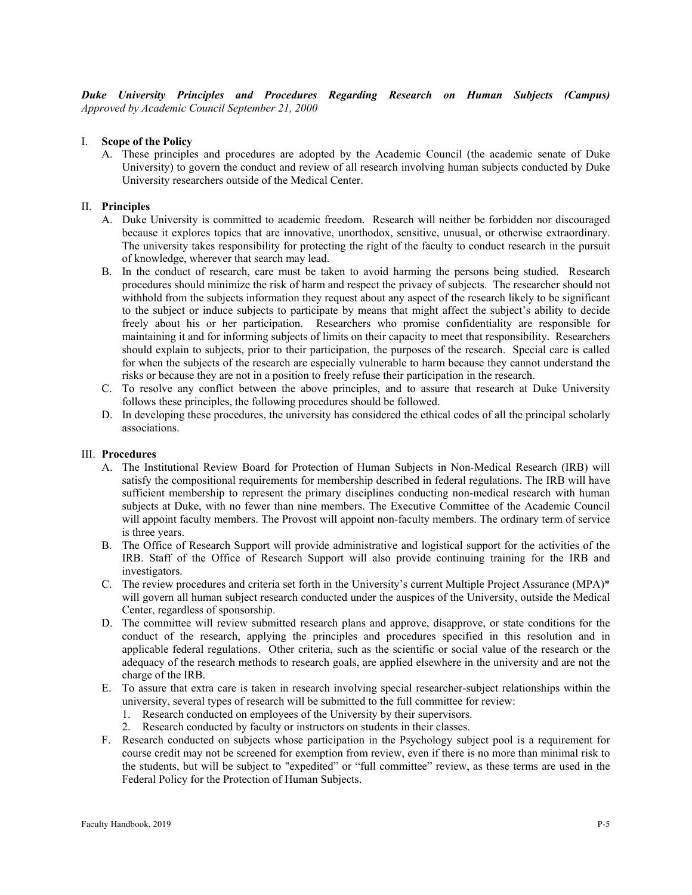*Duke University Principles and Procedures Regarding Research on Human Subjects (Campus) Approved by Academic Council September 21, 2000*

# I. **Scope of the Policy**

A. These principles and procedures are adopted by the Academic Council (the academic senate of Duke University) to govern the conduct and review of all research involving human subjects conducted by Duke University researchers outside of the Medical Center.

# II. **Principles**

- A. Duke University is committed to academic freedom. Research will neither be forbidden nor discouraged because it explores topics that are innovative, unorthodox, sensitive, unusual, or otherwise extraordinary. The university takes responsibility for protecting the right of the faculty to conduct research in the pursuit of knowledge, wherever that search may lead.
- B. In the conduct of research, care must be taken to avoid harming the persons being studied. Research procedures should minimize the risk of harm and respect the privacy of subjects. The researcher should not withhold from the subjects information they request about any aspect of the research likely to be significant to the subject or induce subjects to participate by means that might affect the subject's ability to decide freely about his or her participation. Researchers who promise confidentiality are responsible for maintaining it and for informing subjects of limits on their capacity to meet that responsibility. Researchers should explain to subjects, prior to their participation, the purposes of the research. Special care is called for when the subjects of the research are especially vulnerable to harm because they cannot understand the risks or because they are not in a position to freely refuse their participation in the research.
- C. To resolve any conflict between the above principles, and to assure that research at Duke University follows these principles, the following procedures should be followed.
- D. In developing these procedures, the university has considered the ethical codes of all the principal scholarly associations.

#### III. **Procedures**

- A. The Institutional Review Board for Protection of Human Subjects in Non-Medical Research (IRB) will satisfy the compositional requirements for membership described in federal regulations. The IRB will have sufficient membership to represent the primary disciplines conducting non-medical research with human subjects at Duke, with no fewer than nine members. The Executive Committee of the Academic Council will appoint faculty members. The Provost will appoint non-faculty members. The ordinary term of service is three years.
- B. The Office of Research Support will provide administrative and logistical support for the activities of the IRB. Staff of the Office of Research Support will also provide continuing training for the IRB and investigators.
- C. The review procedures and criteria set forth in the University's current Multiple Project Assurance (MPA)\* will govern all human subject research conducted under the auspices of the University, outside the Medical Center, regardless of sponsorship.
- D. The committee will review submitted research plans and approve, disapprove, or state conditions for the conduct of the research, applying the principles and procedures specified in this resolution and in applicable federal regulations. Other criteria, such as the scientific or social value of the research or the adequacy of the research methods to research goals, are applied elsewhere in the university and are not the charge of the IRB.
- E. To assure that extra care is taken in research involving special researcher-subject relationships within the university, several types of research will be submitted to the full committee for review:
	- 1. Research conducted on employees of the University by their supervisors.
	- 2. Research conducted by faculty or instructors on students in their classes.
- F. Research conducted on subjects whose participation in the Psychology subject pool is a requirement for course credit may not be screened for exemption from review, even if there is no more than minimal risk to the students, but will be subject to "expedited" or "full committee" review, as these terms are used in the Federal Policy for the Protection of Human Subjects.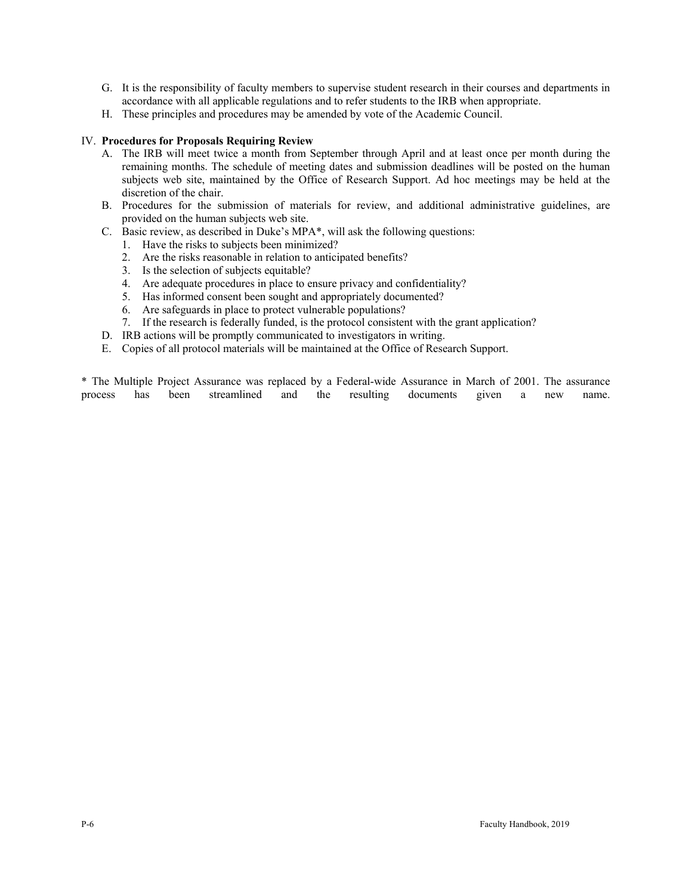- G. It is the responsibility of faculty members to supervise student research in their courses and departments in accordance with all applicable regulations and to refer students to the IRB when appropriate.
- H. These principles and procedures may be amended by vote of the Academic Council.

# IV. **Procedures for Proposals Requiring Review**

- A. The IRB will meet twice a month from September through April and at least once per month during the remaining months. The schedule of meeting dates and submission deadlines will be posted on the human subjects web site, maintained by the Office of Research Support. Ad hoc meetings may be held at the discretion of the chair.
- B. Procedures for the submission of materials for review, and additional administrative guidelines, are provided on the human subjects web site.
- C. Basic review, as described in Duke's MPA\*, will ask the following questions:
	- 1. Have the risks to subjects been minimized?
	- 2. Are the risks reasonable in relation to anticipated benefits?
	- 3. Is the selection of subjects equitable?
	- 4. Are adequate procedures in place to ensure privacy and confidentiality?
	- 5. Has informed consent been sought and appropriately documented?
	- 6. Are safeguards in place to protect vulnerable populations?
	- 7. If the research is federally funded, is the protocol consistent with the grant application?
- D. IRB actions will be promptly communicated to investigators in writing.
- E. Copies of all protocol materials will be maintained at the Office of Research Support.

\* The Multiple Project Assurance was replaced by a Federal-wide Assurance in March of 2001. The assurance process has been streamlined and the resulting documents given a new name.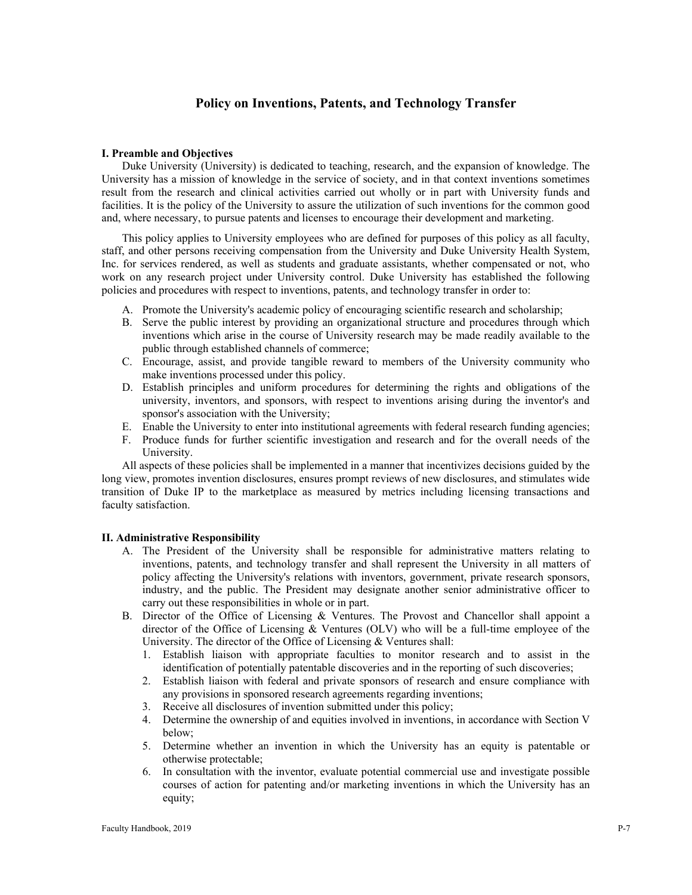# **Policy on Inventions, Patents, and Technology Transfer**

#### **I. Preamble and Objectives**

Duke University (University) is dedicated to teaching, research, and the expansion of knowledge. The University has a mission of knowledge in the service of society, and in that context inventions sometimes result from the research and clinical activities carried out wholly or in part with University funds and facilities. It is the policy of the University to assure the utilization of such inventions for the common good and, where necessary, to pursue patents and licenses to encourage their development and marketing.

This policy applies to University employees who are defined for purposes of this policy as all faculty, staff, and other persons receiving compensation from the University and Duke University Health System, Inc. for services rendered, as well as students and graduate assistants, whether compensated or not, who work on any research project under University control. Duke University has established the following policies and procedures with respect to inventions, patents, and technology transfer in order to:

- A. Promote the University's academic policy of encouraging scientific research and scholarship;
- B. Serve the public interest by providing an organizational structure and procedures through which inventions which arise in the course of University research may be made readily available to the public through established channels of commerce;
- C. Encourage, assist, and provide tangible reward to members of the University community who make inventions processed under this policy.
- D. Establish principles and uniform procedures for determining the rights and obligations of the university, inventors, and sponsors, with respect to inventions arising during the inventor's and sponsor's association with the University;
- E. Enable the University to enter into institutional agreements with federal research funding agencies;
- F. Produce funds for further scientific investigation and research and for the overall needs of the University.

All aspects of these policies shall be implemented in a manner that incentivizes decisions guided by the long view, promotes invention disclosures, ensures prompt reviews of new disclosures, and stimulates wide transition of Duke IP to the marketplace as measured by metrics including licensing transactions and faculty satisfaction.

#### **II. Administrative Responsibility**

- A. The President of the University shall be responsible for administrative matters relating to inventions, patents, and technology transfer and shall represent the University in all matters of policy affecting the University's relations with inventors, government, private research sponsors, industry, and the public. The President may designate another senior administrative officer to carry out these responsibilities in whole or in part.
- B. Director of the Office of Licensing & Ventures. The Provost and Chancellor shall appoint a director of the Office of Licensing & Ventures (OLV) who will be a full-time employee of the University. The director of the Office of Licensing & Ventures shall:
	- 1. Establish liaison with appropriate faculties to monitor research and to assist in the identification of potentially patentable discoveries and in the reporting of such discoveries;
	- 2. Establish liaison with federal and private sponsors of research and ensure compliance with any provisions in sponsored research agreements regarding inventions;
	- 3. Receive all disclosures of invention submitted under this policy;
	- 4. Determine the ownership of and equities involved in inventions, in accordance with Section V below;
	- 5. Determine whether an invention in which the University has an equity is patentable or otherwise protectable;
	- 6. In consultation with the inventor, evaluate potential commercial use and investigate possible courses of action for patenting and/or marketing inventions in which the University has an equity;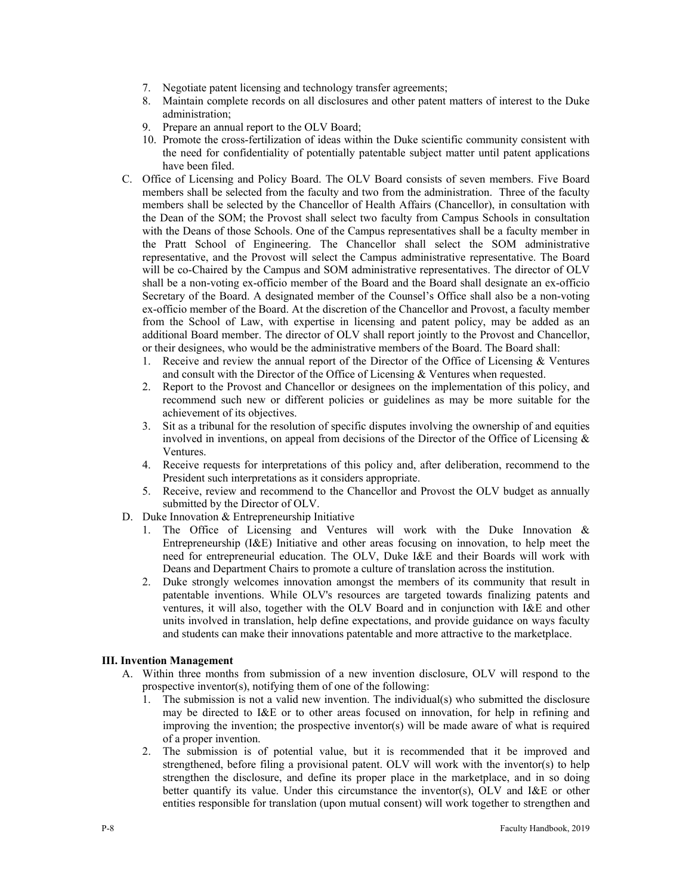- 7. Negotiate patent licensing and technology transfer agreements;
- 8. Maintain complete records on all disclosures and other patent matters of interest to the Duke administration;
- 9. Prepare an annual report to the OLV Board;
- 10. Promote the cross-fertilization of ideas within the Duke scientific community consistent with the need for confidentiality of potentially patentable subject matter until patent applications have been filed.
- C. Office of Licensing and Policy Board. The OLV Board consists of seven members. Five Board members shall be selected from the faculty and two from the administration. Three of the faculty members shall be selected by the Chancellor of Health Affairs (Chancellor), in consultation with the Dean of the SOM; the Provost shall select two faculty from Campus Schools in consultation with the Deans of those Schools. One of the Campus representatives shall be a faculty member in the Pratt School of Engineering. The Chancellor shall select the SOM administrative representative, and the Provost will select the Campus administrative representative. The Board will be co-Chaired by the Campus and SOM administrative representatives. The director of OLV shall be a non-voting ex-officio member of the Board and the Board shall designate an ex-officio Secretary of the Board. A designated member of the Counsel's Office shall also be a non-voting ex-officio member of the Board. At the discretion of the Chancellor and Provost, a faculty member from the School of Law, with expertise in licensing and patent policy, may be added as an additional Board member. The director of OLV shall report jointly to the Provost and Chancellor, or their designees, who would be the administrative members of the Board. The Board shall:
	- 1. Receive and review the annual report of the Director of the Office of Licensing & Ventures and consult with the Director of the Office of Licensing & Ventures when requested.
	- 2. Report to the Provost and Chancellor or designees on the implementation of this policy, and recommend such new or different policies or guidelines as may be more suitable for the achievement of its objectives.
	- 3. Sit as a tribunal for the resolution of specific disputes involving the ownership of and equities involved in inventions, on appeal from decisions of the Director of the Office of Licensing  $\&$ Ventures.
	- 4. Receive requests for interpretations of this policy and, after deliberation, recommend to the President such interpretations as it considers appropriate.
	- 5. Receive, review and recommend to the Chancellor and Provost the OLV budget as annually submitted by the Director of OLV.
- D. Duke Innovation & Entrepreneurship Initiative
	- 1. The Office of Licensing and Ventures will work with the Duke Innovation & Entrepreneurship (I&E) Initiative and other areas focusing on innovation, to help meet the need for entrepreneurial education. The OLV, Duke I&E and their Boards will work with Deans and Department Chairs to promote a culture of translation across the institution.
	- 2. Duke strongly welcomes innovation amongst the members of its community that result in patentable inventions. While OLV's resources are targeted towards finalizing patents and ventures, it will also, together with the OLV Board and in conjunction with I&E and other units involved in translation, help define expectations, and provide guidance on ways faculty and students can make their innovations patentable and more attractive to the marketplace.

#### **III. Invention Management**

- A. Within three months from submission of a new invention disclosure, OLV will respond to the prospective inventor(s), notifying them of one of the following:
	- 1. The submission is not a valid new invention. The individual(s) who submitted the disclosure may be directed to I&E or to other areas focused on innovation, for help in refining and improving the invention; the prospective inventor(s) will be made aware of what is required of a proper invention.
	- 2. The submission is of potential value, but it is recommended that it be improved and strengthened, before filing a provisional patent. OLV will work with the inventor(s) to help strengthen the disclosure, and define its proper place in the marketplace, and in so doing better quantify its value. Under this circumstance the inventor(s), OLV and  $I\&E$  or other entities responsible for translation (upon mutual consent) will work together to strengthen and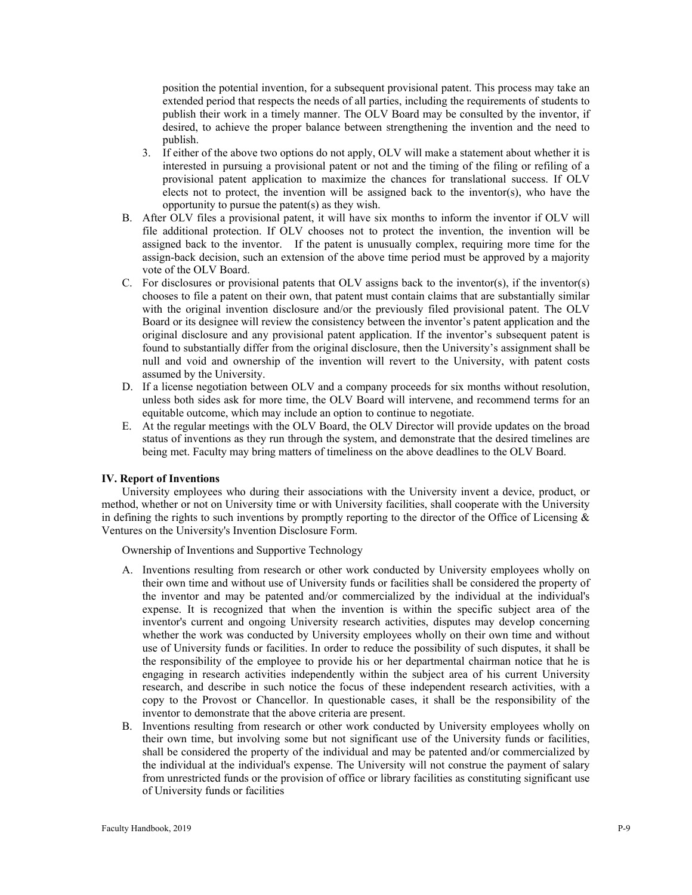position the potential invention, for a subsequent provisional patent. This process may take an extended period that respects the needs of all parties, including the requirements of students to publish their work in a timely manner. The OLV Board may be consulted by the inventor, if desired, to achieve the proper balance between strengthening the invention and the need to publish.

- 3. If either of the above two options do not apply, OLV will make a statement about whether it is interested in pursuing a provisional patent or not and the timing of the filing or refiling of a provisional patent application to maximize the chances for translational success. If OLV elects not to protect, the invention will be assigned back to the inventor(s), who have the opportunity to pursue the patent(s) as they wish.
- B. After OLV files a provisional patent, it will have six months to inform the inventor if OLV will file additional protection. If OLV chooses not to protect the invention, the invention will be assigned back to the inventor. If the patent is unusually complex, requiring more time for the assign-back decision, such an extension of the above time period must be approved by a majority vote of the OLV Board.
- C. For disclosures or provisional patents that OLV assigns back to the inventor(s), if the inventor(s) chooses to file a patent on their own, that patent must contain claims that are substantially similar with the original invention disclosure and/or the previously filed provisional patent. The OLV Board or its designee will review the consistency between the inventor's patent application and the original disclosure and any provisional patent application. If the inventor's subsequent patent is found to substantially differ from the original disclosure, then the University's assignment shall be null and void and ownership of the invention will revert to the University, with patent costs assumed by the University.
- D. If a license negotiation between OLV and a company proceeds for six months without resolution, unless both sides ask for more time, the OLV Board will intervene, and recommend terms for an equitable outcome, which may include an option to continue to negotiate.
- E. At the regular meetings with the OLV Board, the OLV Director will provide updates on the broad status of inventions as they run through the system, and demonstrate that the desired timelines are being met. Faculty may bring matters of timeliness on the above deadlines to the OLV Board.

#### **IV. Report of Inventions**

University employees who during their associations with the University invent a device, product, or method, whether or not on University time or with University facilities, shall cooperate with the University in defining the rights to such inventions by promptly reporting to the director of the Office of Licensing  $\&$ Ventures on the University's Invention Disclosure Form.

Ownership of Inventions and Supportive Technology

- A. Inventions resulting from research or other work conducted by University employees wholly on their own time and without use of University funds or facilities shall be considered the property of the inventor and may be patented and/or commercialized by the individual at the individual's expense. It is recognized that when the invention is within the specific subject area of the inventor's current and ongoing University research activities, disputes may develop concerning whether the work was conducted by University employees wholly on their own time and without use of University funds or facilities. In order to reduce the possibility of such disputes, it shall be the responsibility of the employee to provide his or her departmental chairman notice that he is engaging in research activities independently within the subject area of his current University research, and describe in such notice the focus of these independent research activities, with a copy to the Provost or Chancellor. In questionable cases, it shall be the responsibility of the inventor to demonstrate that the above criteria are present.
- B. Inventions resulting from research or other work conducted by University employees wholly on their own time, but involving some but not significant use of the University funds or facilities, shall be considered the property of the individual and may be patented and/or commercialized by the individual at the individual's expense. The University will not construe the payment of salary from unrestricted funds or the provision of office or library facilities as constituting significant use of University funds or facilities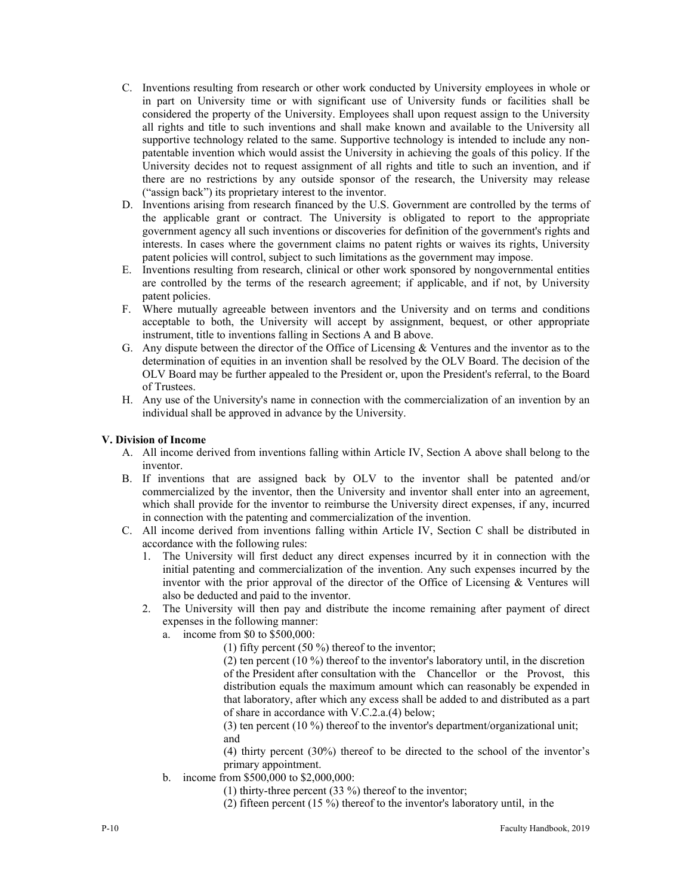- C. Inventions resulting from research or other work conducted by University employees in whole or in part on University time or with significant use of University funds or facilities shall be considered the property of the University. Employees shall upon request assign to the University all rights and title to such inventions and shall make known and available to the University all supportive technology related to the same. Supportive technology is intended to include any nonpatentable invention which would assist the University in achieving the goals of this policy. If the University decides not to request assignment of all rights and title to such an invention, and if there are no restrictions by any outside sponsor of the research, the University may release ("assign back") its proprietary interest to the inventor.
- D. Inventions arising from research financed by the U.S. Government are controlled by the terms of the applicable grant or contract. The University is obligated to report to the appropriate government agency all such inventions or discoveries for definition of the government's rights and interests. In cases where the government claims no patent rights or waives its rights, University patent policies will control, subject to such limitations as the government may impose.
- E. Inventions resulting from research, clinical or other work sponsored by nongovernmental entities are controlled by the terms of the research agreement; if applicable, and if not, by University patent policies.
- F. Where mutually agreeable between inventors and the University and on terms and conditions acceptable to both, the University will accept by assignment, bequest, or other appropriate instrument, title to inventions falling in Sections A and B above.
- G. Any dispute between the director of the Office of Licensing & Ventures and the inventor as to the determination of equities in an invention shall be resolved by the OLV Board. The decision of the OLV Board may be further appealed to the President or, upon the President's referral, to the Board of Trustees.
- H. Any use of the University's name in connection with the commercialization of an invention by an individual shall be approved in advance by the University.

# **V. Division of Income**

- A. All income derived from inventions falling within Article IV, Section A above shall belong to the inventor.
- B. If inventions that are assigned back by OLV to the inventor shall be patented and/or commercialized by the inventor, then the University and inventor shall enter into an agreement, which shall provide for the inventor to reimburse the University direct expenses, if any, incurred in connection with the patenting and commercialization of the invention.
- C. All income derived from inventions falling within Article IV, Section C shall be distributed in accordance with the following rules:
	- 1. The University will first deduct any direct expenses incurred by it in connection with the initial patenting and commercialization of the invention. Any such expenses incurred by the inventor with the prior approval of the director of the Office of Licensing & Ventures will also be deducted and paid to the inventor.
	- 2. The University will then pay and distribute the income remaining after payment of direct expenses in the following manner:
		- a. income from \$0 to \$500,000:
			- (1) fifty percent (50 %) thereof to the inventor;

(2) ten percent (10 %) thereof to the inventor's laboratory until, in the discretion of the President after consultation with the Chancellor or the Provost, this distribution equals the maximum amount which can reasonably be expended in that laboratory, after which any excess shall be added to and distributed as a part of share in accordance with V.C.2.a.(4) below;

(3) ten percent (10 %) thereof to the inventor's department/organizational unit; and

(4) thirty percent (30%) thereof to be directed to the school of the inventor's primary appointment.

- b. income from \$500,000 to \$2,000,000:
	- (1) thirty-three percent (33 %) thereof to the inventor;
	- (2) fifteen percent (15 %) thereof to the inventor's laboratory until, in the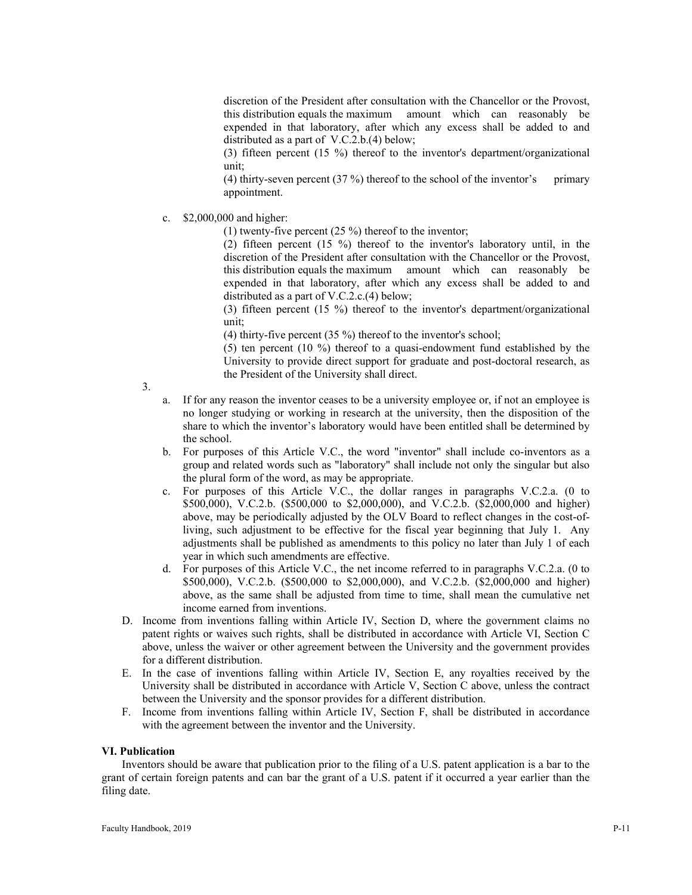discretion of the President after consultation with the Chancellor or the Provost, this distribution equals the maximum amount which can reasonably be expended in that laboratory, after which any excess shall be added to and distributed as a part of V.C.2.b.(4) below;

(3) fifteen percent (15 %) thereof to the inventor's department/organizational unit;

(4) thirty-seven percent  $(37 \%)$  thereof to the school of the inventor's primary appointment.

c. \$2,000,000 and higher:

(1) twenty-five percent (25 %) thereof to the inventor;

(2) fifteen percent (15 %) thereof to the inventor's laboratory until, in the discretion of the President after consultation with the Chancellor or the Provost, this distribution equals the maximum amount which can reasonably be expended in that laboratory, after which any excess shall be added to and distributed as a part of V.C.2.c.(4) below;

(3) fifteen percent (15 %) thereof to the inventor's department/organizational unit;

(4) thirty-five percent (35 %) thereof to the inventor's school;

(5) ten percent (10 %) thereof to a quasi-endowment fund established by the University to provide direct support for graduate and post-doctoral research, as the President of the University shall direct.

3.

- a. If for any reason the inventor ceases to be a university employee or, if not an employee is no longer studying or working in research at the university, then the disposition of the share to which the inventor's laboratory would have been entitled shall be determined by the school.
- b. For purposes of this Article V.C., the word "inventor" shall include co-inventors as a group and related words such as "laboratory" shall include not only the singular but also the plural form of the word, as may be appropriate.
- c. For purposes of this Article V.C., the dollar ranges in paragraphs V.C.2.a. (0 to \$500,000), V.C.2.b. (\$500,000 to \$2,000,000), and V.C.2.b. (\$2,000,000 and higher) above, may be periodically adjusted by the OLV Board to reflect changes in the cost-ofliving, such adjustment to be effective for the fiscal year beginning that July 1. Any adjustments shall be published as amendments to this policy no later than July 1 of each year in which such amendments are effective.
- d. For purposes of this Article V.C., the net income referred to in paragraphs V.C.2.a. (0 to \$500,000), V.C.2.b. (\$500,000 to \$2,000,000), and V.C.2.b. (\$2,000,000 and higher) above, as the same shall be adjusted from time to time, shall mean the cumulative net income earned from inventions.
- D. Income from inventions falling within Article IV, Section D, where the government claims no patent rights or waives such rights, shall be distributed in accordance with Article VI, Section C above, unless the waiver or other agreement between the University and the government provides for a different distribution.
- E. In the case of inventions falling within Article IV, Section E, any royalties received by the University shall be distributed in accordance with Article V, Section C above, unless the contract between the University and the sponsor provides for a different distribution.
- F. Income from inventions falling within Article IV, Section F, shall be distributed in accordance with the agreement between the inventor and the University.

#### **VI. Publication**

Inventors should be aware that publication prior to the filing of a U.S. patent application is a bar to the grant of certain foreign patents and can bar the grant of a U.S. patent if it occurred a year earlier than the filing date.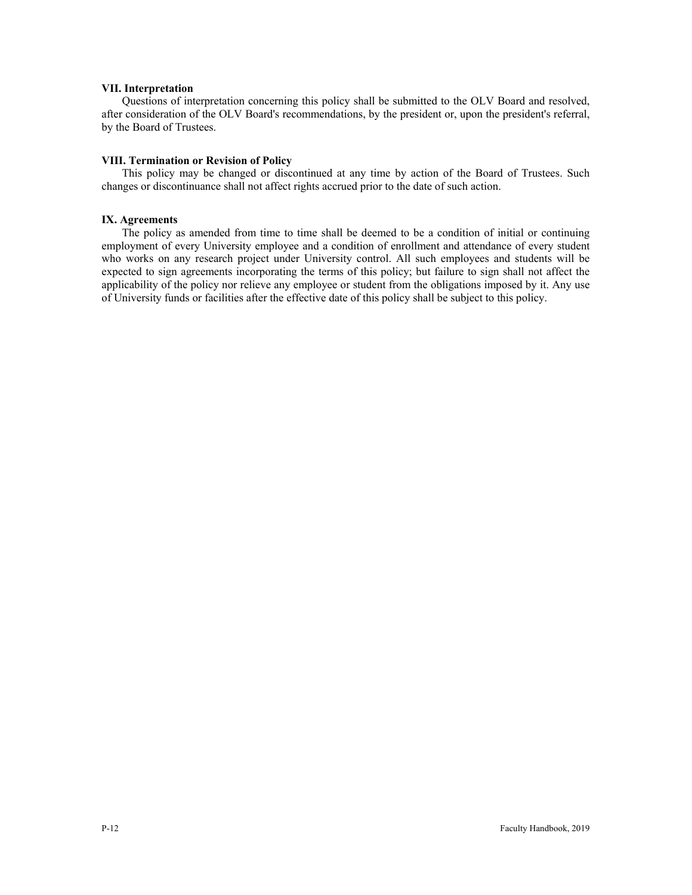#### **VII. Interpretation**

Questions of interpretation concerning this policy shall be submitted to the OLV Board and resolved, after consideration of the OLV Board's recommendations, by the president or, upon the president's referral, by the Board of Trustees.

#### **VIII. Termination or Revision of Policy**

This policy may be changed or discontinued at any time by action of the Board of Trustees. Such changes or discontinuance shall not affect rights accrued prior to the date of such action.

#### **IX. Agreements**

The policy as amended from time to time shall be deemed to be a condition of initial or continuing employment of every University employee and a condition of enrollment and attendance of every student who works on any research project under University control. All such employees and students will be expected to sign agreements incorporating the terms of this policy; but failure to sign shall not affect the applicability of the policy nor relieve any employee or student from the obligations imposed by it. Any use of University funds or facilities after the effective date of this policy shall be subject to this policy.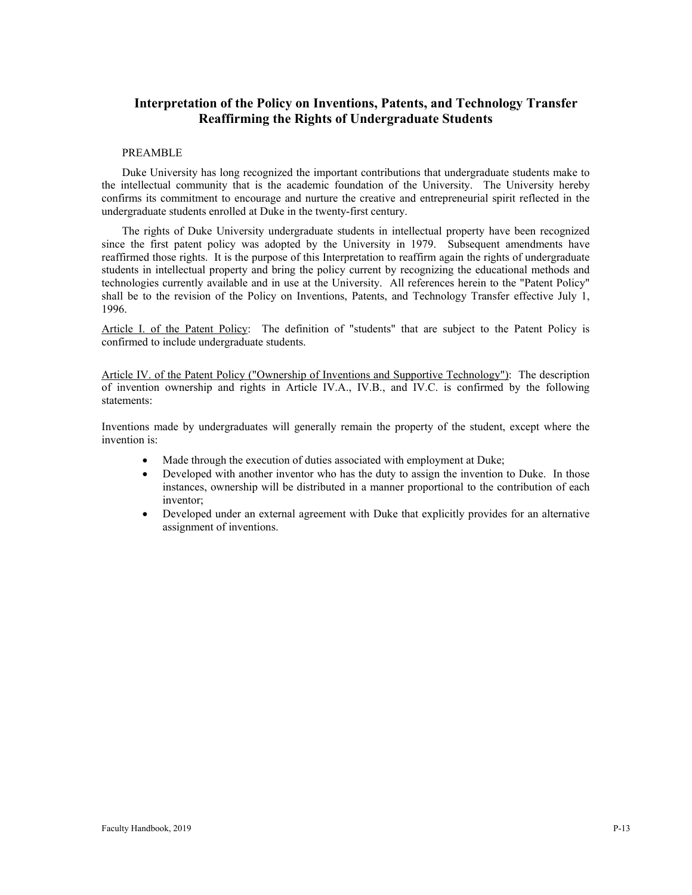# **Interpretation of the Policy on Inventions, Patents, and Technology Transfer Reaffirming the Rights of Undergraduate Students**

# PREAMBLE

Duke University has long recognized the important contributions that undergraduate students make to the intellectual community that is the academic foundation of the University. The University hereby confirms its commitment to encourage and nurture the creative and entrepreneurial spirit reflected in the undergraduate students enrolled at Duke in the twenty-first century.

The rights of Duke University undergraduate students in intellectual property have been recognized since the first patent policy was adopted by the University in 1979. Subsequent amendments have reaffirmed those rights. It is the purpose of this Interpretation to reaffirm again the rights of undergraduate students in intellectual property and bring the policy current by recognizing the educational methods and technologies currently available and in use at the University. All references herein to the "Patent Policy" shall be to the revision of the Policy on Inventions, Patents, and Technology Transfer effective July 1, 1996.

Article I. of the Patent Policy: The definition of "students" that are subject to the Patent Policy is confirmed to include undergraduate students.

Article IV. of the Patent Policy ("Ownership of Inventions and Supportive Technology"): The description of invention ownership and rights in Article IV.A., IV.B., and IV.C. is confirmed by the following statements:

Inventions made by undergraduates will generally remain the property of the student, except where the invention is:

- Made through the execution of duties associated with employment at Duke;
- Developed with another inventor who has the duty to assign the invention to Duke. In those instances, ownership will be distributed in a manner proportional to the contribution of each inventor;
- Developed under an external agreement with Duke that explicitly provides for an alternative assignment of inventions.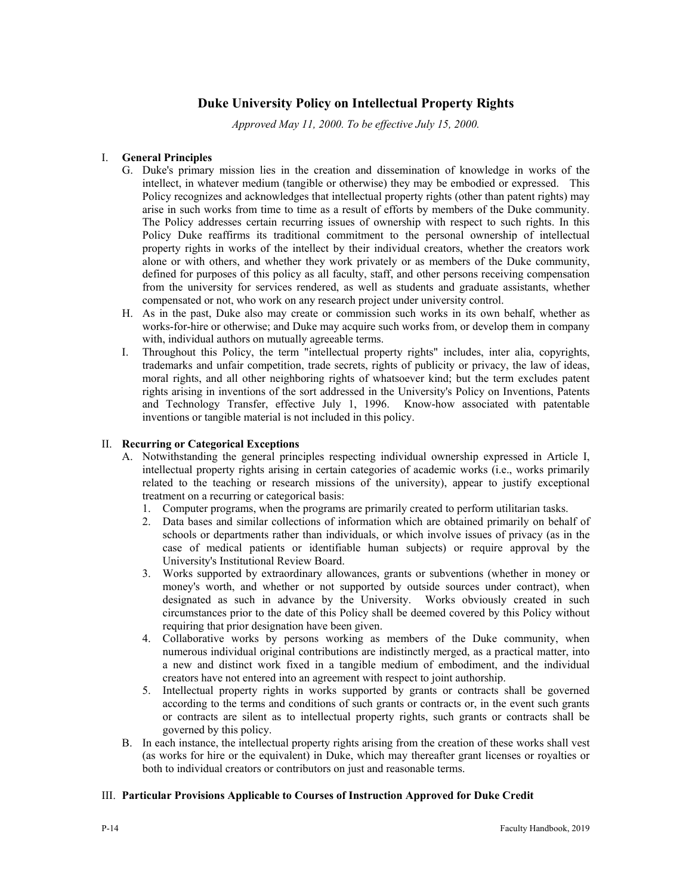# **Duke University Policy on Intellectual Property Rights**

*Approved May 11, 2000. To be effective July 15, 2000.*

# I. **General Principles**

- G. Duke's primary mission lies in the creation and dissemination of knowledge in works of the intellect, in whatever medium (tangible or otherwise) they may be embodied or expressed. This Policy recognizes and acknowledges that intellectual property rights (other than patent rights) may arise in such works from time to time as a result of efforts by members of the Duke community. The Policy addresses certain recurring issues of ownership with respect to such rights. In this Policy Duke reaffirms its traditional commitment to the personal ownership of intellectual property rights in works of the intellect by their individual creators, whether the creators work alone or with others, and whether they work privately or as members of the Duke community, defined for purposes of this policy as all faculty, staff, and other persons receiving compensation from the university for services rendered, as well as students and graduate assistants, whether compensated or not, who work on any research project under university control.
- H. As in the past, Duke also may create or commission such works in its own behalf, whether as works-for-hire or otherwise; and Duke may acquire such works from, or develop them in company with, individual authors on mutually agreeable terms.
- I. Throughout this Policy, the term "intellectual property rights" includes, inter alia, copyrights, trademarks and unfair competition, trade secrets, rights of publicity or privacy, the law of ideas, moral rights, and all other neighboring rights of whatsoever kind; but the term excludes patent rights arising in inventions of the sort addressed in the University's Policy on Inventions, Patents and Technology Transfer, effective July 1, 1996. Know-how associated with patentable inventions or tangible material is not included in this policy.

# II. **Recurring or Categorical Exceptions**

- A. Notwithstanding the general principles respecting individual ownership expressed in Article I, intellectual property rights arising in certain categories of academic works (i.e., works primarily related to the teaching or research missions of the university), appear to justify exceptional treatment on a recurring or categorical basis:
	- 1. Computer programs, when the programs are primarily created to perform utilitarian tasks.
	- 2. Data bases and similar collections of information which are obtained primarily on behalf of schools or departments rather than individuals, or which involve issues of privacy (as in the case of medical patients or identifiable human subjects) or require approval by the University's Institutional Review Board.
	- 3. Works supported by extraordinary allowances, grants or subventions (whether in money or money's worth, and whether or not supported by outside sources under contract), when designated as such in advance by the University. Works obviously created in such circumstances prior to the date of this Policy shall be deemed covered by this Policy without requiring that prior designation have been given.
	- 4. Collaborative works by persons working as members of the Duke community, when numerous individual original contributions are indistinctly merged, as a practical matter, into a new and distinct work fixed in a tangible medium of embodiment, and the individual creators have not entered into an agreement with respect to joint authorship.
	- 5. Intellectual property rights in works supported by grants or contracts shall be governed according to the terms and conditions of such grants or contracts or, in the event such grants or contracts are silent as to intellectual property rights, such grants or contracts shall be governed by this policy.
- B. In each instance, the intellectual property rights arising from the creation of these works shall vest (as works for hire or the equivalent) in Duke, which may thereafter grant licenses or royalties or both to individual creators or contributors on just and reasonable terms.

# III. **Particular Provisions Applicable to Courses of Instruction Approved for Duke Credit**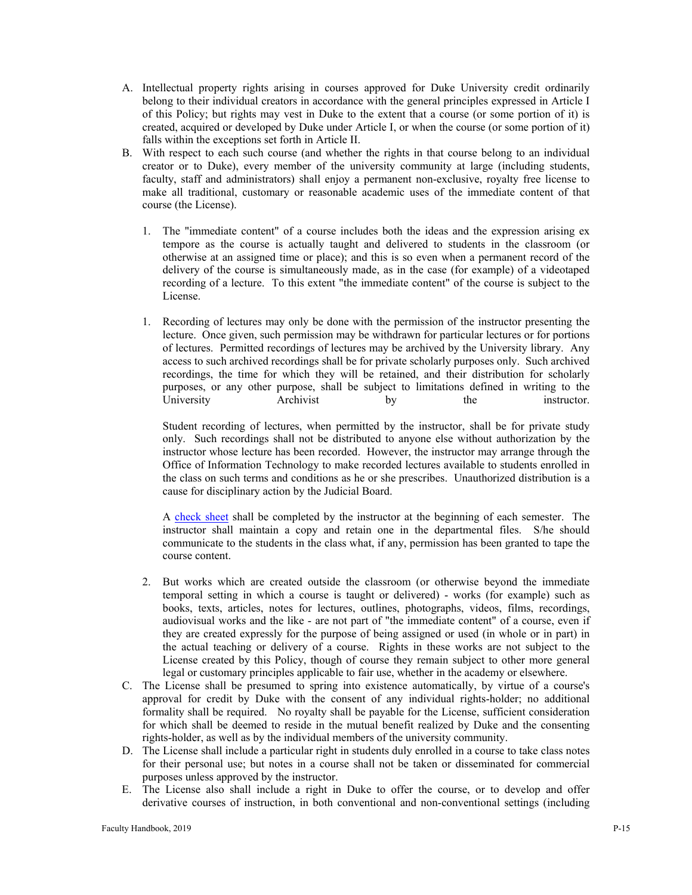- A. Intellectual property rights arising in courses approved for Duke University credit ordinarily belong to their individual creators in accordance with the general principles expressed in Article I of this Policy; but rights may vest in Duke to the extent that a course (or some portion of it) is created, acquired or developed by Duke under Article I, or when the course (or some portion of it) falls within the exceptions set forth in Article II.
- B. With respect to each such course (and whether the rights in that course belong to an individual creator or to Duke), every member of the university community at large (including students, faculty, staff and administrators) shall enjoy a permanent non-exclusive, royalty free license to make all traditional, customary or reasonable academic uses of the immediate content of that course (the License).
	- 1. The "immediate content" of a course includes both the ideas and the expression arising ex tempore as the course is actually taught and delivered to students in the classroom (or otherwise at an assigned time or place); and this is so even when a permanent record of the delivery of the course is simultaneously made, as in the case (for example) of a videotaped recording of a lecture. To this extent "the immediate content" of the course is subject to the License.
	- 1. Recording of lectures may only be done with the permission of the instructor presenting the lecture. Once given, such permission may be withdrawn for particular lectures or for portions of lectures. Permitted recordings of lectures may be archived by the University library. Any access to such archived recordings shall be for private scholarly purposes only. Such archived recordings, the time for which they will be retained, and their distribution for scholarly purposes, or any other purpose, shall be subject to limitations defined in writing to the University **Archivist** by the instructor.

Student recording of lectures, when permitted by the instructor, shall be for private study only. Such recordings shall not be distributed to anyone else without authorization by the instructor whose lecture has been recorded. However, the instructor may arrange through the Office of Information Technology to make recorded lectures available to students enrolled in the class on such terms and conditions as he or she prescribes. Unauthorized distribution is a cause for disciplinary action by the Judicial Board.

A [check sheet](https://provost.duke.edu/sites/all/files/IP%20checksheet%20taping%20of%20lectures.pdf) shall be completed by the instructor at the beginning of each semester. The instructor shall maintain a copy and retain one in the departmental files. S/he should communicate to the students in the class what, if any, permission has been granted to tape the course content.

- 2. But works which are created outside the classroom (or otherwise beyond the immediate temporal setting in which a course is taught or delivered) - works (for example) such as books, texts, articles, notes for lectures, outlines, photographs, videos, films, recordings, audiovisual works and the like - are not part of "the immediate content" of a course, even if they are created expressly for the purpose of being assigned or used (in whole or in part) in the actual teaching or delivery of a course. Rights in these works are not subject to the License created by this Policy, though of course they remain subject to other more general legal or customary principles applicable to fair use, whether in the academy or elsewhere.
- C. The License shall be presumed to spring into existence automatically, by virtue of a course's approval for credit by Duke with the consent of any individual rights-holder; no additional formality shall be required. No royalty shall be payable for the License, sufficient consideration for which shall be deemed to reside in the mutual benefit realized by Duke and the consenting rights-holder, as well as by the individual members of the university community.
- D. The License shall include a particular right in students duly enrolled in a course to take class notes for their personal use; but notes in a course shall not be taken or disseminated for commercial purposes unless approved by the instructor.
- E. The License also shall include a right in Duke to offer the course, or to develop and offer derivative courses of instruction, in both conventional and non-conventional settings (including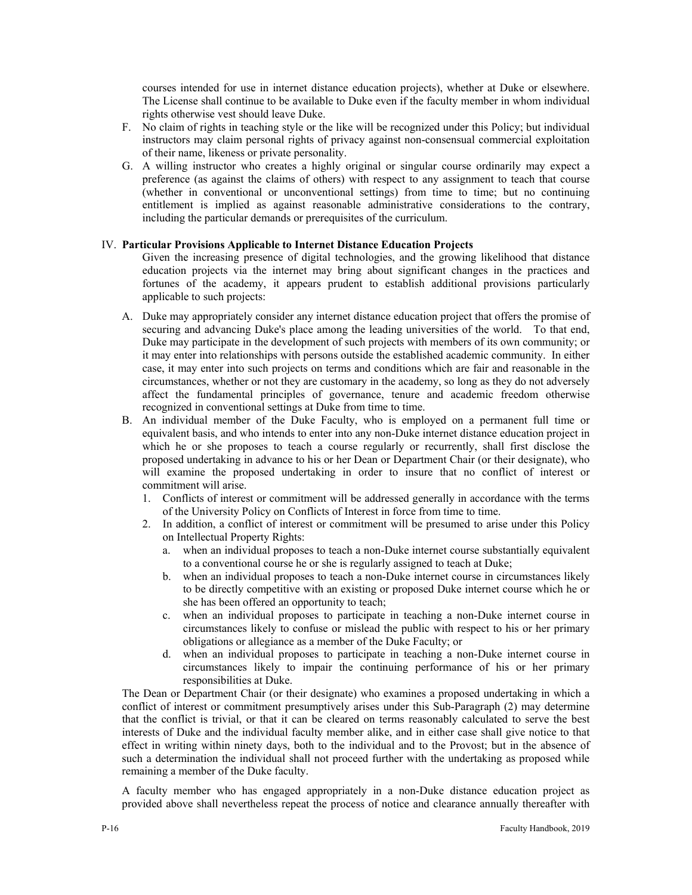courses intended for use in internet distance education projects), whether at Duke or elsewhere. The License shall continue to be available to Duke even if the faculty member in whom individual rights otherwise vest should leave Duke.

- F. No claim of rights in teaching style or the like will be recognized under this Policy; but individual instructors may claim personal rights of privacy against non-consensual commercial exploitation of their name, likeness or private personality.
- G. A willing instructor who creates a highly original or singular course ordinarily may expect a preference (as against the claims of others) with respect to any assignment to teach that course (whether in conventional or unconventional settings) from time to time; but no continuing entitlement is implied as against reasonable administrative considerations to the contrary, including the particular demands or prerequisites of the curriculum.

# IV. **Particular Provisions Applicable to Internet Distance Education Projects**

Given the increasing presence of digital technologies, and the growing likelihood that distance education projects via the internet may bring about significant changes in the practices and fortunes of the academy, it appears prudent to establish additional provisions particularly applicable to such projects:

- A. Duke may appropriately consider any internet distance education project that offers the promise of securing and advancing Duke's place among the leading universities of the world. To that end, Duke may participate in the development of such projects with members of its own community; or it may enter into relationships with persons outside the established academic community. In either case, it may enter into such projects on terms and conditions which are fair and reasonable in the circumstances, whether or not they are customary in the academy, so long as they do not adversely affect the fundamental principles of governance, tenure and academic freedom otherwise recognized in conventional settings at Duke from time to time.
- B. An individual member of the Duke Faculty, who is employed on a permanent full time or equivalent basis, and who intends to enter into any non-Duke internet distance education project in which he or she proposes to teach a course regularly or recurrently, shall first disclose the proposed undertaking in advance to his or her Dean or Department Chair (or their designate), who will examine the proposed undertaking in order to insure that no conflict of interest or commitment will arise.
	- 1. Conflicts of interest or commitment will be addressed generally in accordance with the terms of the University Policy on Conflicts of Interest in force from time to time.
	- 2. In addition, a conflict of interest or commitment will be presumed to arise under this Policy on Intellectual Property Rights:
		- a. when an individual proposes to teach a non-Duke internet course substantially equivalent to a conventional course he or she is regularly assigned to teach at Duke;
		- b. when an individual proposes to teach a non-Duke internet course in circumstances likely to be directly competitive with an existing or proposed Duke internet course which he or she has been offered an opportunity to teach;
		- c. when an individual proposes to participate in teaching a non-Duke internet course in circumstances likely to confuse or mislead the public with respect to his or her primary obligations or allegiance as a member of the Duke Faculty; or
		- d. when an individual proposes to participate in teaching a non-Duke internet course in circumstances likely to impair the continuing performance of his or her primary responsibilities at Duke.

The Dean or Department Chair (or their designate) who examines a proposed undertaking in which a conflict of interest or commitment presumptively arises under this Sub-Paragraph (2) may determine that the conflict is trivial, or that it can be cleared on terms reasonably calculated to serve the best interests of Duke and the individual faculty member alike, and in either case shall give notice to that effect in writing within ninety days, both to the individual and to the Provost; but in the absence of such a determination the individual shall not proceed further with the undertaking as proposed while remaining a member of the Duke faculty.

A faculty member who has engaged appropriately in a non-Duke distance education project as provided above shall nevertheless repeat the process of notice and clearance annually thereafter with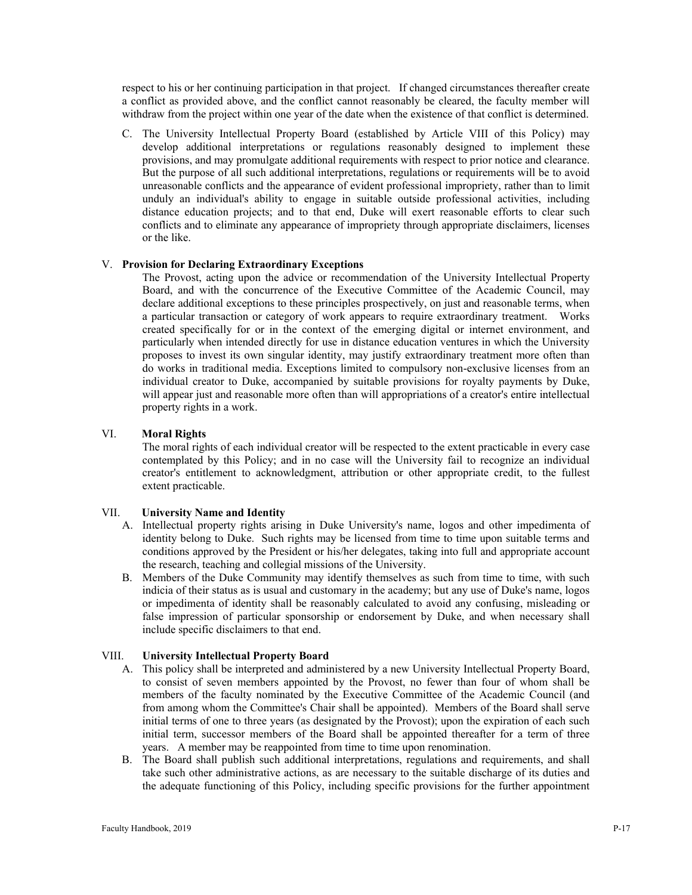respect to his or her continuing participation in that project. If changed circumstances thereafter create a conflict as provided above, and the conflict cannot reasonably be cleared, the faculty member will withdraw from the project within one year of the date when the existence of that conflict is determined.

C. The University Intellectual Property Board (established by Article VIII of this Policy) may develop additional interpretations or regulations reasonably designed to implement these provisions, and may promulgate additional requirements with respect to prior notice and clearance. But the purpose of all such additional interpretations, regulations or requirements will be to avoid unreasonable conflicts and the appearance of evident professional impropriety, rather than to limit unduly an individual's ability to engage in suitable outside professional activities, including distance education projects; and to that end, Duke will exert reasonable efforts to clear such conflicts and to eliminate any appearance of impropriety through appropriate disclaimers, licenses or the like.

# V. **Provision for Declaring Extraordinary Exceptions**

The Provost, acting upon the advice or recommendation of the University Intellectual Property Board, and with the concurrence of the Executive Committee of the Academic Council, may declare additional exceptions to these principles prospectively, on just and reasonable terms, when a particular transaction or category of work appears to require extraordinary treatment. Works created specifically for or in the context of the emerging digital or internet environment, and particularly when intended directly for use in distance education ventures in which the University proposes to invest its own singular identity, may justify extraordinary treatment more often than do works in traditional media. Exceptions limited to compulsory non-exclusive licenses from an individual creator to Duke, accompanied by suitable provisions for royalty payments by Duke, will appear just and reasonable more often than will appropriations of a creator's entire intellectual property rights in a work.

# VI. **Moral Rights**

The moral rights of each individual creator will be respected to the extent practicable in every case contemplated by this Policy; and in no case will the University fail to recognize an individual creator's entitlement to acknowledgment, attribution or other appropriate credit, to the fullest extent practicable.

#### VII. **University Name and Identity**

- A. Intellectual property rights arising in Duke University's name, logos and other impedimenta of identity belong to Duke. Such rights may be licensed from time to time upon suitable terms and conditions approved by the President or his/her delegates, taking into full and appropriate account the research, teaching and collegial missions of the University.
- B. Members of the Duke Community may identify themselves as such from time to time, with such indicia of their status as is usual and customary in the academy; but any use of Duke's name, logos or impedimenta of identity shall be reasonably calculated to avoid any confusing, misleading or false impression of particular sponsorship or endorsement by Duke, and when necessary shall include specific disclaimers to that end.

# VIII. **University Intellectual Property Board**

- A. This policy shall be interpreted and administered by a new University Intellectual Property Board, to consist of seven members appointed by the Provost, no fewer than four of whom shall be members of the faculty nominated by the Executive Committee of the Academic Council (and from among whom the Committee's Chair shall be appointed). Members of the Board shall serve initial terms of one to three years (as designated by the Provost); upon the expiration of each such initial term, successor members of the Board shall be appointed thereafter for a term of three years. A member may be reappointed from time to time upon renomination.
- B. The Board shall publish such additional interpretations, regulations and requirements, and shall take such other administrative actions, as are necessary to the suitable discharge of its duties and the adequate functioning of this Policy, including specific provisions for the further appointment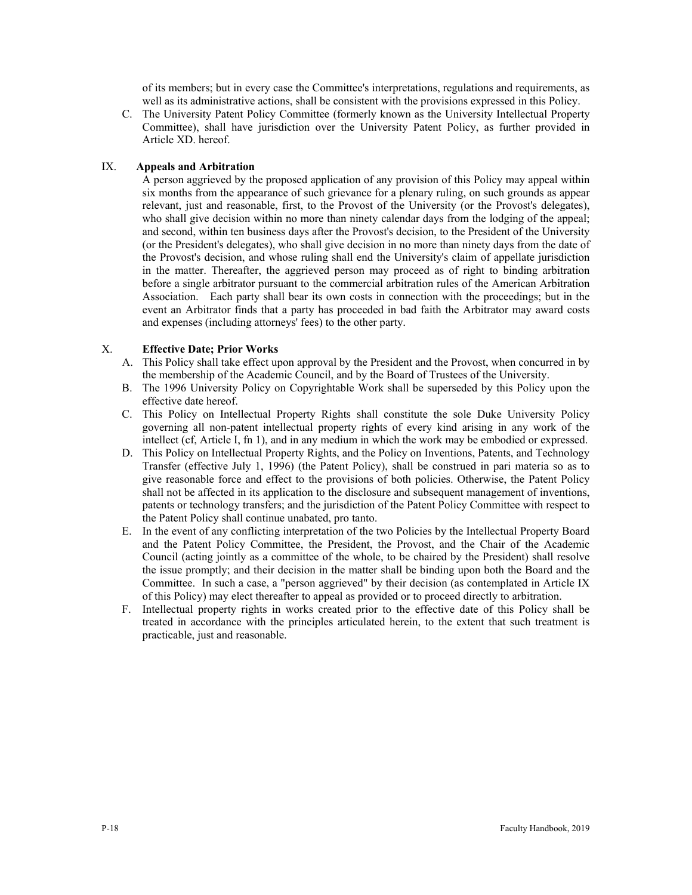of its members; but in every case the Committee's interpretations, regulations and requirements, as well as its administrative actions, shall be consistent with the provisions expressed in this Policy.

C. The University Patent Policy Committee (formerly known as the University Intellectual Property Committee), shall have jurisdiction over the University Patent Policy, as further provided in Article XD. hereof.

# IX. **Appeals and Arbitration**

A person aggrieved by the proposed application of any provision of this Policy may appeal within six months from the appearance of such grievance for a plenary ruling, on such grounds as appear relevant, just and reasonable, first, to the Provost of the University (or the Provost's delegates), who shall give decision within no more than ninety calendar days from the lodging of the appeal; and second, within ten business days after the Provost's decision, to the President of the University (or the President's delegates), who shall give decision in no more than ninety days from the date of the Provost's decision, and whose ruling shall end the University's claim of appellate jurisdiction in the matter. Thereafter, the aggrieved person may proceed as of right to binding arbitration before a single arbitrator pursuant to the commercial arbitration rules of the American Arbitration Association. Each party shall bear its own costs in connection with the proceedings; but in the event an Arbitrator finds that a party has proceeded in bad faith the Arbitrator may award costs and expenses (including attorneys' fees) to the other party.

# X. **Effective Date; Prior Works**

- A. This Policy shall take effect upon approval by the President and the Provost, when concurred in by the membership of the Academic Council, and by the Board of Trustees of the University.
- B. The 1996 University Policy on Copyrightable Work shall be superseded by this Policy upon the effective date hereof.
- C. This Policy on Intellectual Property Rights shall constitute the sole Duke University Policy governing all non-patent intellectual property rights of every kind arising in any work of the intellect (cf, Article I, fn 1), and in any medium in which the work may be embodied or expressed.
- D. This Policy on Intellectual Property Rights, and the Policy on Inventions, Patents, and Technology Transfer (effective July 1, 1996) (the Patent Policy), shall be construed in pari materia so as to give reasonable force and effect to the provisions of both policies. Otherwise, the Patent Policy shall not be affected in its application to the disclosure and subsequent management of inventions, patents or technology transfers; and the jurisdiction of the Patent Policy Committee with respect to the Patent Policy shall continue unabated, pro tanto.
- E. In the event of any conflicting interpretation of the two Policies by the Intellectual Property Board and the Patent Policy Committee, the President, the Provost, and the Chair of the Academic Council (acting jointly as a committee of the whole, to be chaired by the President) shall resolve the issue promptly; and their decision in the matter shall be binding upon both the Board and the Committee. In such a case, a "person aggrieved" by their decision (as contemplated in Article IX of this Policy) may elect thereafter to appeal as provided or to proceed directly to arbitration.
- F. Intellectual property rights in works created prior to the effective date of this Policy shall be treated in accordance with the principles articulated herein, to the extent that such treatment is practicable, just and reasonable.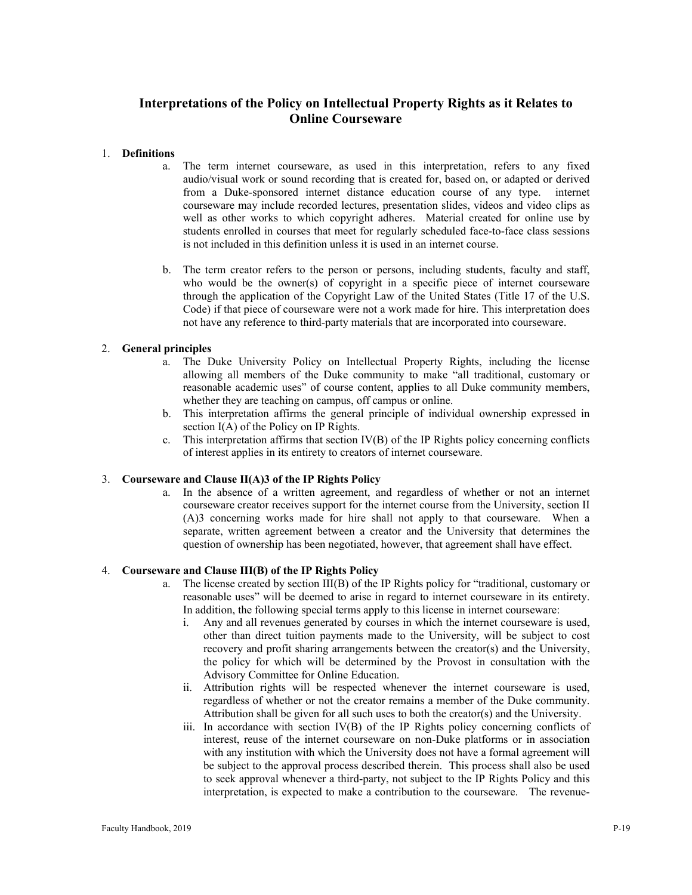# **Interpretations of the Policy on Intellectual Property Rights as it Relates to Online Courseware**

# 1. **Definitions**

- a. The term internet courseware, as used in this interpretation, refers to any fixed audio/visual work or sound recording that is created for, based on, or adapted or derived from a Duke-sponsored internet distance education course of any type. internet courseware may include recorded lectures, presentation slides, videos and video clips as well as other works to which copyright adheres. Material created for online use by students enrolled in courses that meet for regularly scheduled face-to-face class sessions is not included in this definition unless it is used in an internet course.
- b. The term creator refers to the person or persons, including students, faculty and staff, who would be the owner(s) of copyright in a specific piece of internet courseware through the application of the Copyright Law of the United States (Title 17 of the U.S. Code) if that piece of courseware were not a work made for hire. This interpretation does not have any reference to third-party materials that are incorporated into courseware.

#### 2. **General principles**

- a. The Duke University Policy on Intellectual Property Rights, including the license allowing all members of the Duke community to make "all traditional, customary or reasonable academic uses" of course content, applies to all Duke community members, whether they are teaching on campus, off campus or online.
- b. This interpretation affirms the general principle of individual ownership expressed in section I(A) of the Policy on IP Rights.
- c. This interpretation affirms that section IV(B) of the IP Rights policy concerning conflicts of interest applies in its entirety to creators of internet courseware.

#### 3. **Courseware and Clause II(A)3 of the IP Rights Policy**

a. In the absence of a written agreement, and regardless of whether or not an internet courseware creator receives support for the internet course from the University, section II (A)3 concerning works made for hire shall not apply to that courseware. When a separate, written agreement between a creator and the University that determines the question of ownership has been negotiated, however, that agreement shall have effect.

# 4. **Courseware and Clause III(B) of the IP Rights Policy**

- a. The license created by section III(B) of the IP Rights policy for "traditional, customary or reasonable uses" will be deemed to arise in regard to internet courseware in its entirety. In addition, the following special terms apply to this license in internet courseware:
	- i. Any and all revenues generated by courses in which the internet courseware is used, other than direct tuition payments made to the University, will be subject to cost recovery and profit sharing arrangements between the creator(s) and the University, the policy for which will be determined by the Provost in consultation with the Advisory Committee for Online Education.
	- ii. Attribution rights will be respected whenever the internet courseware is used, regardless of whether or not the creator remains a member of the Duke community. Attribution shall be given for all such uses to both the creator(s) and the University.
	- iii. In accordance with section IV(B) of the IP Rights policy concerning conflicts of interest, reuse of the internet courseware on non-Duke platforms or in association with any institution with which the University does not have a formal agreement will be subject to the approval process described therein. This process shall also be used to seek approval whenever a third-party, not subject to the IP Rights Policy and this interpretation, is expected to make a contribution to the courseware. The revenue-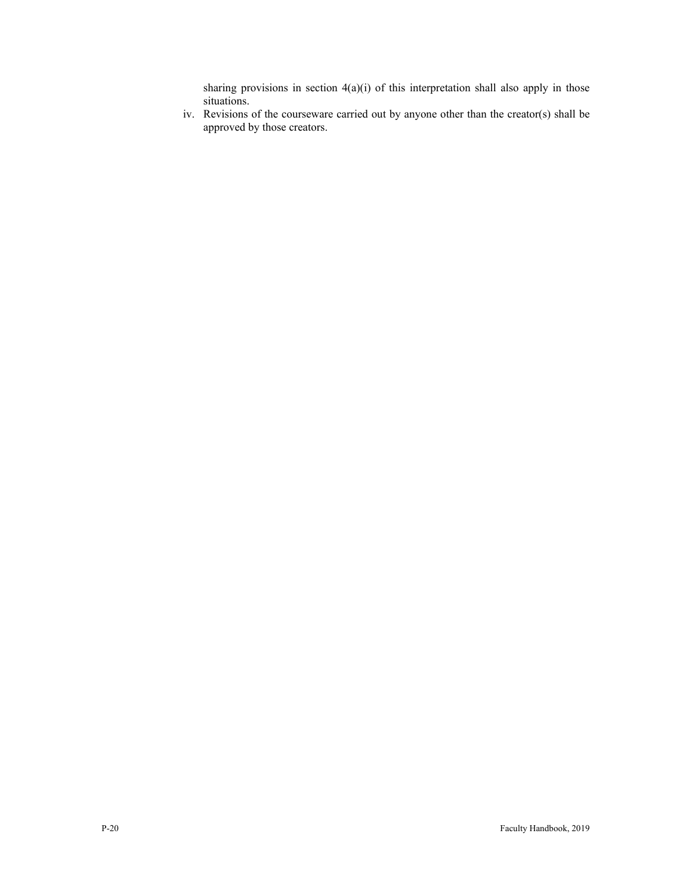sharing provisions in section  $4(a)(i)$  of this interpretation shall also apply in those situations.

iv. Revisions of the courseware carried out by anyone other than the creator(s) shall be approved by those creators.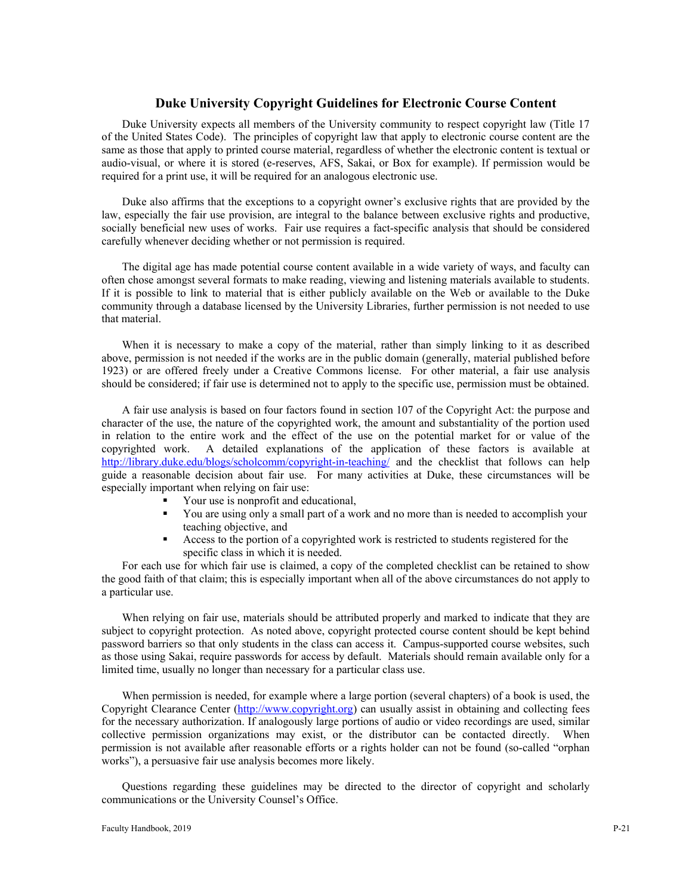# **Duke University Copyright Guidelines for Electronic Course Content**

Duke University expects all members of the University community to respect copyright law (Title 17 of the United States Code). The principles of copyright law that apply to electronic course content are the same as those that apply to printed course material, regardless of whether the electronic content is textual or audio-visual, or where it is stored (e-reserves, AFS, Sakai, or Box for example). If permission would be required for a print use, it will be required for an analogous electronic use.

Duke also affirms that the exceptions to a copyright owner's exclusive rights that are provided by the law, especially the fair use provision, are integral to the balance between exclusive rights and productive, socially beneficial new uses of works. Fair use requires a fact-specific analysis that should be considered carefully whenever deciding whether or not permission is required.

The digital age has made potential course content available in a wide variety of ways, and faculty can often chose amongst several formats to make reading, viewing and listening materials available to students. If it is possible to link to material that is either publicly available on the Web or available to the Duke community through a database licensed by the University Libraries, further permission is not needed to use that material.

When it is necessary to make a copy of the material, rather than simply linking to it as described above, permission is not needed if the works are in the public domain (generally, material published before 1923) or are offered freely under a Creative Commons license. For other material, a fair use analysis should be considered; if fair use is determined not to apply to the specific use, permission must be obtained.

A fair use analysis is based on four factors found in section 107 of the Copyright Act: the purpose and character of the use, the nature of the copyrighted work, the amount and substantiality of the portion used in relation to the entire work and the effect of the use on the potential market for or value of the copyrighted work. A detailed explanations of the application of these factors is available at <http://library.duke.edu/blogs/scholcomm/copyright-in-teaching/> and the checklist that follows can help guide a reasonable decision about fair use. For many activities at Duke, these circumstances will be especially important when relying on fair use:

- Your use is nonprofit and educational,
- You are using only a small part of a work and no more than is needed to accomplish your teaching objective, and
- Access to the portion of a copyrighted work is restricted to students registered for the specific class in which it is needed.

For each use for which fair use is claimed, a copy of the completed checklist can be retained to show the good faith of that claim; this is especially important when all of the above circumstances do not apply to a particular use.

When relying on fair use, materials should be attributed properly and marked to indicate that they are subject to copyright protection. As noted above, copyright protected course content should be kept behind password barriers so that only students in the class can access it. Campus-supported course websites, such as those using Sakai, require passwords for access by default. Materials should remain available only for a limited time, usually no longer than necessary for a particular class use.

When permission is needed, for example where a large portion (several chapters) of a book is used, the Copyright Clearance Center [\(http://www.copyright.org\)](http://www.copyright.org/) can usually assist in obtaining and collecting fees for the necessary authorization. If analogously large portions of audio or video recordings are used, similar collective permission organizations may exist, or the distributor can be contacted directly. When permission is not available after reasonable efforts or a rights holder can not be found (so-called "orphan works"), a persuasive fair use analysis becomes more likely.

Questions regarding these guidelines may be directed to the director of copyright and scholarly communications or the University Counsel's Office.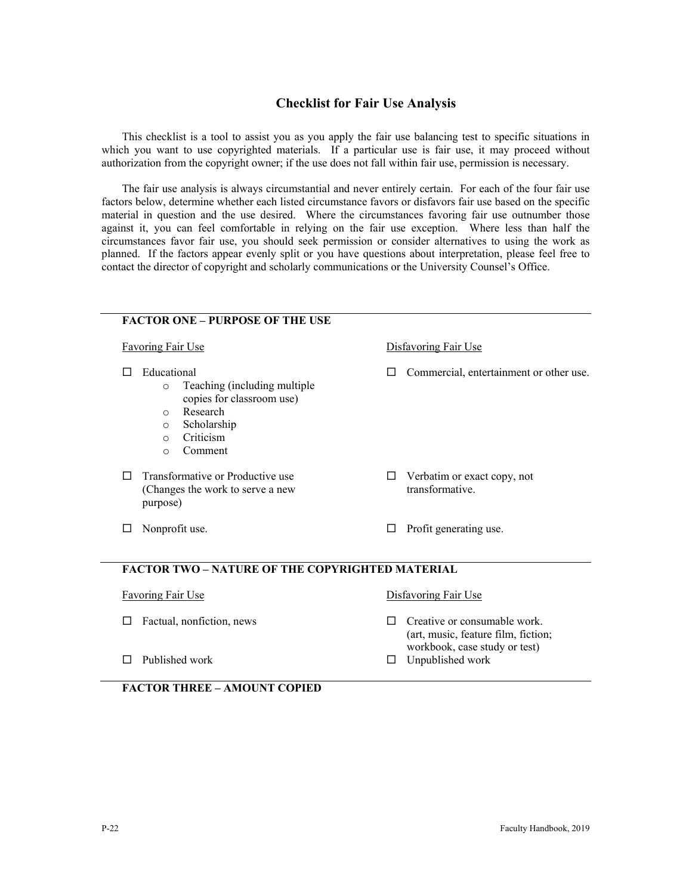# **Checklist for Fair Use Analysis**

This checklist is a tool to assist you as you apply the fair use balancing test to specific situations in which you want to use copyrighted materials. If a particular use is fair use, it may proceed without authorization from the copyright owner; if the use does not fall within fair use, permission is necessary.

The fair use analysis is always circumstantial and never entirely certain. For each of the four fair use factors below, determine whether each listed circumstance favors or disfavors fair use based on the specific material in question and the use desired. Where the circumstances favoring fair use outnumber those against it, you can feel comfortable in relying on the fair use exception. Where less than half the circumstances favor fair use, you should seek permission or consider alternatives to using the work as planned. If the factors appear evenly split or you have questions about interpretation, please feel free to contact the director of copyright and scholarly communications or the University Counsel's Office.

|                                                                        | <b>FACTOR ONE - PURPOSE OF THE USE</b>                                                                       |                      |                                                                     |
|------------------------------------------------------------------------|--------------------------------------------------------------------------------------------------------------|----------------------|---------------------------------------------------------------------|
| <b>Favoring Fair Use</b>                                               |                                                                                                              | Disfavoring Fair Use |                                                                     |
| Educational<br>$\circ$<br>$\bigcirc$<br>$\circ$<br>$\circ$<br>$\Omega$ | Teaching (including multiple<br>copies for classroom use)<br>Research<br>Scholarship<br>Criticism<br>Comment |                      | Commercial, entertainment or other use.                             |
| purpose)                                                               | Transformative or Productive use<br>(Changes the work to serve a new                                         |                      | Verbatim or exact copy, not<br>transformative.                      |
| □                                                                      | Nonprofit use.                                                                                               | □                    | Profit generating use.                                              |
|                                                                        | <b>FACTOR TWO – NATURE OF THE COPYRIGHTED MATERIAL</b>                                                       |                      |                                                                     |
| <b>Favoring Fair Use</b>                                               |                                                                                                              | Disfavoring Fair Use |                                                                     |
|                                                                        | Factual, nonfiction, news                                                                                    |                      | Creative or consumable work.<br>(art, music, feature film, fiction; |
|                                                                        | Published work                                                                                               |                      | workbook, case study or test)<br>Unpublished work                   |

|  | <b>FACTOR THREE - AMOUNT COPIED</b> |  |
|--|-------------------------------------|--|
|  |                                     |  |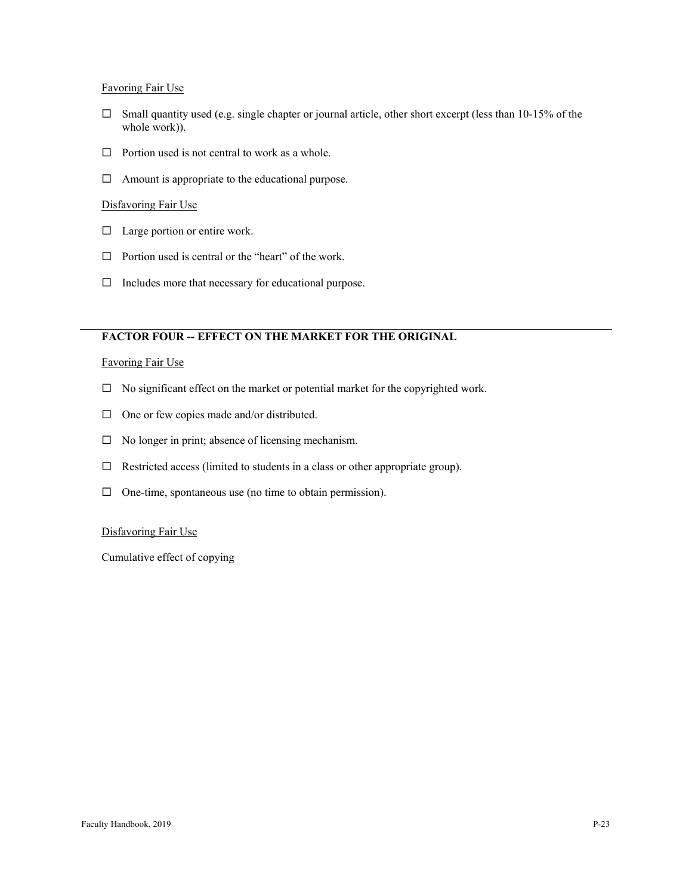# Favoring Fair Use

- $\square$  Small quantity used (e.g. single chapter or journal article, other short excerpt (less than 10-15% of the whole work)).
- $\Box$  Portion used is not central to work as a whole.
- $\Box$  Amount is appropriate to the educational purpose.

# Disfavoring Fair Use

- $\Box$  Large portion or entire work.
- $\Box$  Portion used is central or the "heart" of the work.
- $\Box$  Includes more that necessary for educational purpose.

# **FACTOR FOUR -- EFFECT ON THE MARKET FOR THE ORIGINAL**

#### Favoring Fair Use

- $\Box$  No significant effect on the market or potential market for the copyrighted work.
- $\Box$  One or few copies made and/or distributed.
- $\Box$  No longer in print; absence of licensing mechanism.
- $\Box$  Restricted access (limited to students in a class or other appropriate group).
- $\Box$  One-time, spontaneous use (no time to obtain permission).

# Disfavoring Fair Use

Cumulative effect of copying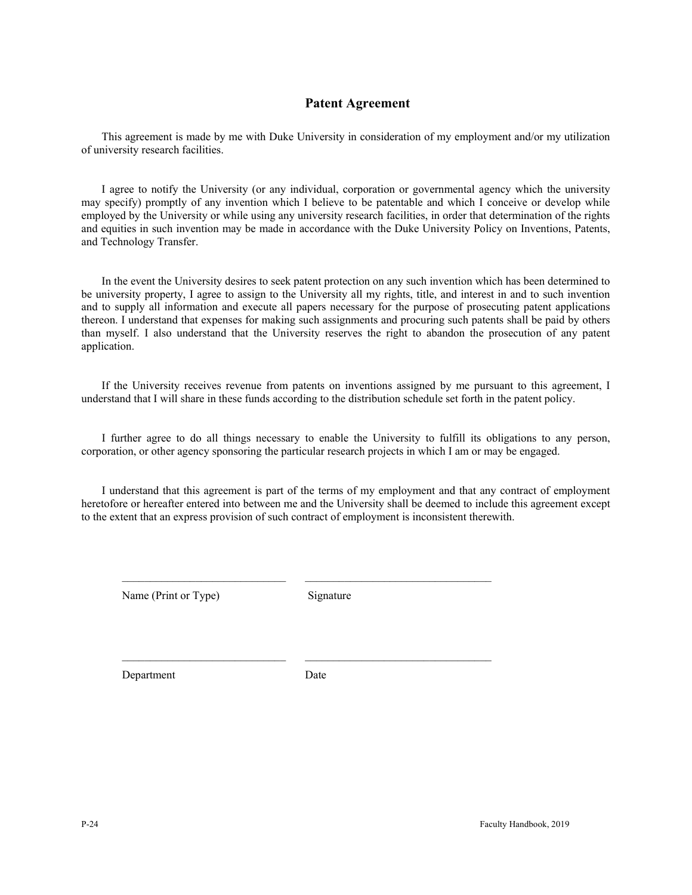# **Patent Agreement**

This agreement is made by me with Duke University in consideration of my employment and/or my utilization of university research facilities.

I agree to notify the University (or any individual, corporation or governmental agency which the university may specify) promptly of any invention which I believe to be patentable and which I conceive or develop while employed by the University or while using any university research facilities, in order that determination of the rights and equities in such invention may be made in accordance with the Duke University Policy on Inventions, Patents, and Technology Transfer.

In the event the University desires to seek patent protection on any such invention which has been determined to be university property, I agree to assign to the University all my rights, title, and interest in and to such invention and to supply all information and execute all papers necessary for the purpose of prosecuting patent applications thereon. I understand that expenses for making such assignments and procuring such patents shall be paid by others than myself. I also understand that the University reserves the right to abandon the prosecution of any patent application.

If the University receives revenue from patents on inventions assigned by me pursuant to this agreement, I understand that I will share in these funds according to the distribution schedule set forth in the patent policy.

I further agree to do all things necessary to enable the University to fulfill its obligations to any person, corporation, or other agency sponsoring the particular research projects in which I am or may be engaged.

I understand that this agreement is part of the terms of my employment and that any contract of employment heretofore or hereafter entered into between me and the University shall be deemed to include this agreement except to the extent that an express provision of such contract of employment is inconsistent therewith.

Name (Print or Type) Signature

\_\_\_\_\_\_\_\_\_\_\_\_\_\_\_\_\_\_\_\_\_\_\_\_\_\_\_\_\_ \_\_\_\_\_\_\_\_\_\_\_\_\_\_\_\_\_\_\_\_\_\_\_\_\_\_\_\_\_\_\_\_\_

Department Date

\_\_\_\_\_\_\_\_\_\_\_\_\_\_\_\_\_\_\_\_\_\_\_\_\_\_\_\_\_ \_\_\_\_\_\_\_\_\_\_\_\_\_\_\_\_\_\_\_\_\_\_\_\_\_\_\_\_\_\_\_\_\_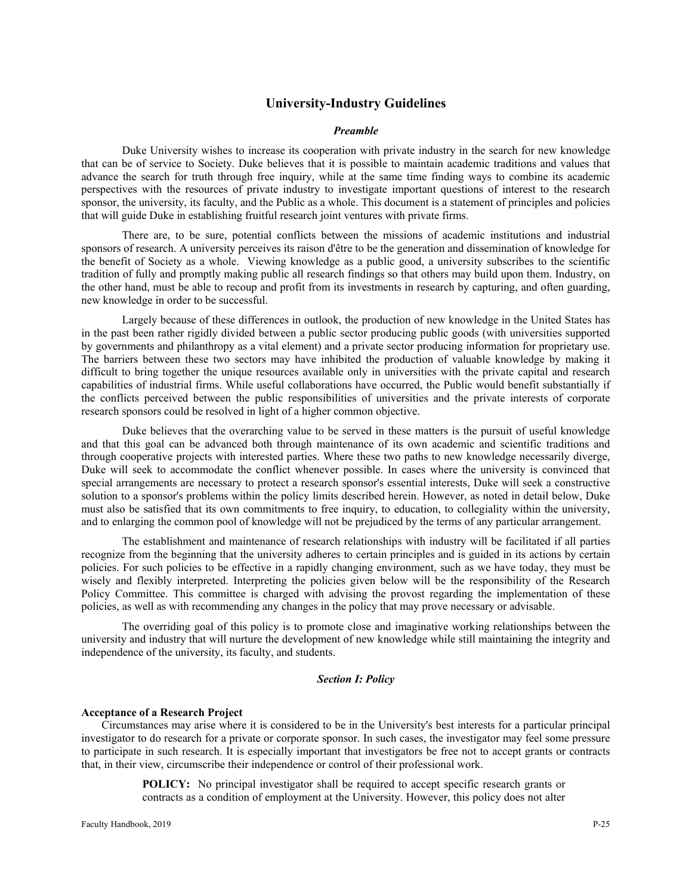# **University-Industry Guidelines**

#### *Preamble*

Duke University wishes to increase its cooperation with private industry in the search for new knowledge that can be of service to Society. Duke believes that it is possible to maintain academic traditions and values that advance the search for truth through free inquiry, while at the same time finding ways to combine its academic perspectives with the resources of private industry to investigate important questions of interest to the research sponsor, the university, its faculty, and the Public as a whole. This document is a statement of principles and policies that will guide Duke in establishing fruitful research joint ventures with private firms.

There are, to be sure, potential conflicts between the missions of academic institutions and industrial sponsors of research. A university perceives its raison d'être to be the generation and dissemination of knowledge for the benefit of Society as a whole. Viewing knowledge as a public good, a university subscribes to the scientific tradition of fully and promptly making public all research findings so that others may build upon them. Industry, on the other hand, must be able to recoup and profit from its investments in research by capturing, and often guarding, new knowledge in order to be successful.

Largely because of these differences in outlook, the production of new knowledge in the United States has in the past been rather rigidly divided between a public sector producing public goods (with universities supported by governments and philanthropy as a vital element) and a private sector producing information for proprietary use. The barriers between these two sectors may have inhibited the production of valuable knowledge by making it difficult to bring together the unique resources available only in universities with the private capital and research capabilities of industrial firms. While useful collaborations have occurred, the Public would benefit substantially if the conflicts perceived between the public responsibilities of universities and the private interests of corporate research sponsors could be resolved in light of a higher common objective.

Duke believes that the overarching value to be served in these matters is the pursuit of useful knowledge and that this goal can be advanced both through maintenance of its own academic and scientific traditions and through cooperative projects with interested parties. Where these two paths to new knowledge necessarily diverge, Duke will seek to accommodate the conflict whenever possible. In cases where the university is convinced that special arrangements are necessary to protect a research sponsor's essential interests, Duke will seek a constructive solution to a sponsor's problems within the policy limits described herein. However, as noted in detail below, Duke must also be satisfied that its own commitments to free inquiry, to education, to collegiality within the university, and to enlarging the common pool of knowledge will not be prejudiced by the terms of any particular arrangement.

The establishment and maintenance of research relationships with industry will be facilitated if all parties recognize from the beginning that the university adheres to certain principles and is guided in its actions by certain policies. For such policies to be effective in a rapidly changing environment, such as we have today, they must be wisely and flexibly interpreted. Interpreting the policies given below will be the responsibility of the Research Policy Committee. This committee is charged with advising the provost regarding the implementation of these policies, as well as with recommending any changes in the policy that may prove necessary or advisable.

The overriding goal of this policy is to promote close and imaginative working relationships between the university and industry that will nurture the development of new knowledge while still maintaining the integrity and independence of the university, its faculty, and students.

#### *Section I: Policy*

#### **Acceptance of a Research Project**

Circumstances may arise where it is considered to be in the University's best interests for a particular principal investigator to do research for a private or corporate sponsor. In such cases, the investigator may feel some pressure to participate in such research. It is especially important that investigators be free not to accept grants or contracts that, in their view, circumscribe their independence or control of their professional work.

> **POLICY:** No principal investigator shall be required to accept specific research grants or contracts as a condition of employment at the University. However, this policy does not alter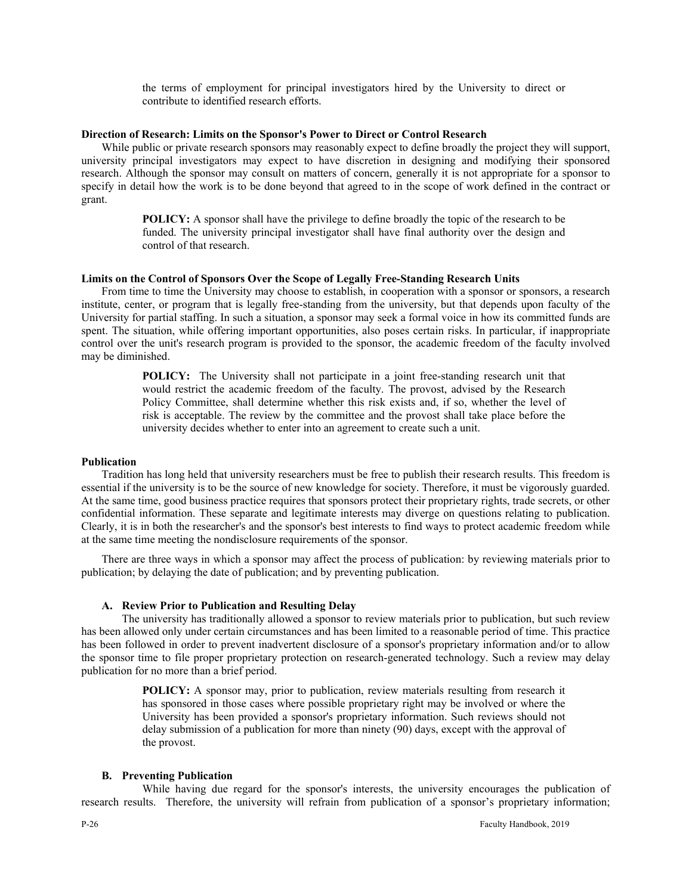the terms of employment for principal investigators hired by the University to direct or contribute to identified research efforts.

#### **Direction of Research: Limits on the Sponsor's Power to Direct or Control Research**

While public or private research sponsors may reasonably expect to define broadly the project they will support, university principal investigators may expect to have discretion in designing and modifying their sponsored research. Although the sponsor may consult on matters of concern, generally it is not appropriate for a sponsor to specify in detail how the work is to be done beyond that agreed to in the scope of work defined in the contract or grant.

> **POLICY:** A sponsor shall have the privilege to define broadly the topic of the research to be funded. The university principal investigator shall have final authority over the design and control of that research.

# **Limits on the Control of Sponsors Over the Scope of Legally Free-Standing Research Units**

From time to time the University may choose to establish, in cooperation with a sponsor or sponsors, a research institute, center, or program that is legally free-standing from the university, but that depends upon faculty of the University for partial staffing. In such a situation, a sponsor may seek a formal voice in how its committed funds are spent. The situation, while offering important opportunities, also poses certain risks. In particular, if inappropriate control over the unit's research program is provided to the sponsor, the academic freedom of the faculty involved may be diminished.

> **POLICY:** The University shall not participate in a joint free-standing research unit that would restrict the academic freedom of the faculty. The provost, advised by the Research Policy Committee, shall determine whether this risk exists and, if so, whether the level of risk is acceptable. The review by the committee and the provost shall take place before the university decides whether to enter into an agreement to create such a unit.

#### **Publication**

Tradition has long held that university researchers must be free to publish their research results. This freedom is essential if the university is to be the source of new knowledge for society. Therefore, it must be vigorously guarded. At the same time, good business practice requires that sponsors protect their proprietary rights, trade secrets, or other confidential information. These separate and legitimate interests may diverge on questions relating to publication. Clearly, it is in both the researcher's and the sponsor's best interests to find ways to protect academic freedom while at the same time meeting the nondisclosure requirements of the sponsor.

There are three ways in which a sponsor may affect the process of publication: by reviewing materials prior to publication; by delaying the date of publication; and by preventing publication.

#### **A. Review Prior to Publication and Resulting Delay**

The university has traditionally allowed a sponsor to review materials prior to publication, but such review has been allowed only under certain circumstances and has been limited to a reasonable period of time. This practice has been followed in order to prevent inadvertent disclosure of a sponsor's proprietary information and/or to allow the sponsor time to file proper proprietary protection on research-generated technology. Such a review may delay publication for no more than a brief period.

> **POLICY:** A sponsor may, prior to publication, review materials resulting from research it has sponsored in those cases where possible proprietary right may be involved or where the University has been provided a sponsor's proprietary information. Such reviews should not delay submission of a publication for more than ninety (90) days, except with the approval of the provost.

#### **B. Preventing Publication**

While having due regard for the sponsor's interests, the university encourages the publication of research results. Therefore, the university will refrain from publication of a sponsor's proprietary information;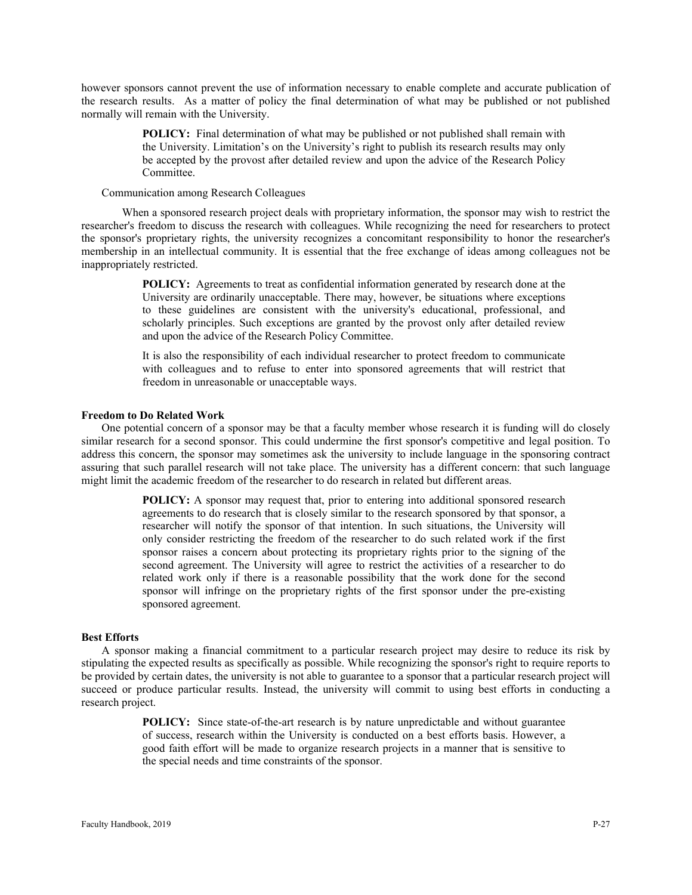however sponsors cannot prevent the use of information necessary to enable complete and accurate publication of the research results. As a matter of policy the final determination of what may be published or not published normally will remain with the University.

> **POLICY:** Final determination of what may be published or not published shall remain with the University. Limitation's on the University's right to publish its research results may only be accepted by the provost after detailed review and upon the advice of the Research Policy Committee.

#### Communication among Research Colleagues

When a sponsored research project deals with proprietary information, the sponsor may wish to restrict the researcher's freedom to discuss the research with colleagues. While recognizing the need for researchers to protect the sponsor's proprietary rights, the university recognizes a concomitant responsibility to honor the researcher's membership in an intellectual community. It is essential that the free exchange of ideas among colleagues not be inappropriately restricted.

> **POLICY:** Agreements to treat as confidential information generated by research done at the University are ordinarily unacceptable. There may, however, be situations where exceptions to these guidelines are consistent with the university's educational, professional, and scholarly principles. Such exceptions are granted by the provost only after detailed review and upon the advice of the Research Policy Committee.

> It is also the responsibility of each individual researcher to protect freedom to communicate with colleagues and to refuse to enter into sponsored agreements that will restrict that freedom in unreasonable or unacceptable ways.

#### **Freedom to Do Related Work**

One potential concern of a sponsor may be that a faculty member whose research it is funding will do closely similar research for a second sponsor. This could undermine the first sponsor's competitive and legal position. To address this concern, the sponsor may sometimes ask the university to include language in the sponsoring contract assuring that such parallel research will not take place. The university has a different concern: that such language might limit the academic freedom of the researcher to do research in related but different areas.

> **POLICY:** A sponsor may request that, prior to entering into additional sponsored research agreements to do research that is closely similar to the research sponsored by that sponsor, a researcher will notify the sponsor of that intention. In such situations, the University will only consider restricting the freedom of the researcher to do such related work if the first sponsor raises a concern about protecting its proprietary rights prior to the signing of the second agreement. The University will agree to restrict the activities of a researcher to do related work only if there is a reasonable possibility that the work done for the second sponsor will infringe on the proprietary rights of the first sponsor under the pre-existing sponsored agreement.

#### **Best Efforts**

A sponsor making a financial commitment to a particular research project may desire to reduce its risk by stipulating the expected results as specifically as possible. While recognizing the sponsor's right to require reports to be provided by certain dates, the university is not able to guarantee to a sponsor that a particular research project will succeed or produce particular results. Instead, the university will commit to using best efforts in conducting a research project.

> **POLICY:** Since state-of-the-art research is by nature unpredictable and without guarantee of success, research within the University is conducted on a best efforts basis. However, a good faith effort will be made to organize research projects in a manner that is sensitive to the special needs and time constraints of the sponsor.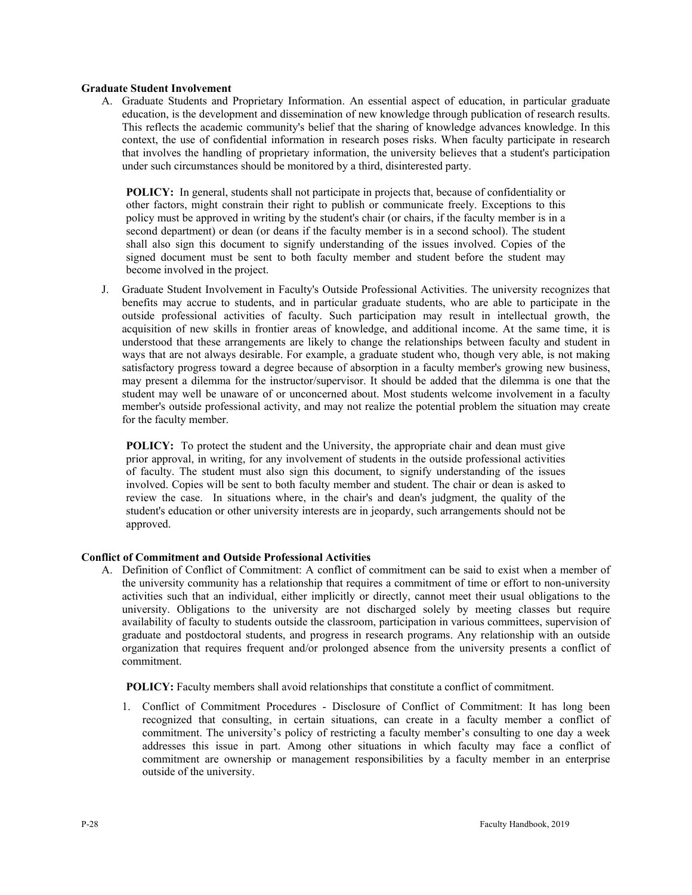# **Graduate Student Involvement**

A. Graduate Students and Proprietary Information. An essential aspect of education, in particular graduate education, is the development and dissemination of new knowledge through publication of research results. This reflects the academic community's belief that the sharing of knowledge advances knowledge. In this context, the use of confidential information in research poses risks. When faculty participate in research that involves the handling of proprietary information, the university believes that a student's participation under such circumstances should be monitored by a third, disinterested party.

**POLICY:** In general, students shall not participate in projects that, because of confidentiality or other factors, might constrain their right to publish or communicate freely. Exceptions to this policy must be approved in writing by the student's chair (or chairs, if the faculty member is in a second department) or dean (or deans if the faculty member is in a second school). The student shall also sign this document to signify understanding of the issues involved. Copies of the signed document must be sent to both faculty member and student before the student may become involved in the project.

J. Graduate Student Involvement in Faculty's Outside Professional Activities. The university recognizes that benefits may accrue to students, and in particular graduate students, who are able to participate in the outside professional activities of faculty. Such participation may result in intellectual growth, the acquisition of new skills in frontier areas of knowledge, and additional income. At the same time, it is understood that these arrangements are likely to change the relationships between faculty and student in ways that are not always desirable. For example, a graduate student who, though very able, is not making satisfactory progress toward a degree because of absorption in a faculty member's growing new business, may present a dilemma for the instructor/supervisor. It should be added that the dilemma is one that the student may well be unaware of or unconcerned about. Most students welcome involvement in a faculty member's outside professional activity, and may not realize the potential problem the situation may create for the faculty member.

**POLICY:** To protect the student and the University, the appropriate chair and dean must give prior approval, in writing, for any involvement of students in the outside professional activities of faculty. The student must also sign this document, to signify understanding of the issues involved. Copies will be sent to both faculty member and student. The chair or dean is asked to review the case. In situations where, in the chair's and dean's judgment, the quality of the student's education or other university interests are in jeopardy, such arrangements should not be approved.

#### **Conflict of Commitment and Outside Professional Activities**

A. Definition of Conflict of Commitment: A conflict of commitment can be said to exist when a member of the university community has a relationship that requires a commitment of time or effort to non-university activities such that an individual, either implicitly or directly, cannot meet their usual obligations to the university. Obligations to the university are not discharged solely by meeting classes but require availability of faculty to students outside the classroom, participation in various committees, supervision of graduate and postdoctoral students, and progress in research programs. Any relationship with an outside organization that requires frequent and/or prolonged absence from the university presents a conflict of commitment.

**POLICY:** Faculty members shall avoid relationships that constitute a conflict of commitment.

1. Conflict of Commitment Procedures - Disclosure of Conflict of Commitment: It has long been recognized that consulting, in certain situations, can create in a faculty member a conflict of commitment. The university's policy of restricting a faculty member's consulting to one day a week addresses this issue in part. Among other situations in which faculty may face a conflict of commitment are ownership or management responsibilities by a faculty member in an enterprise outside of the university.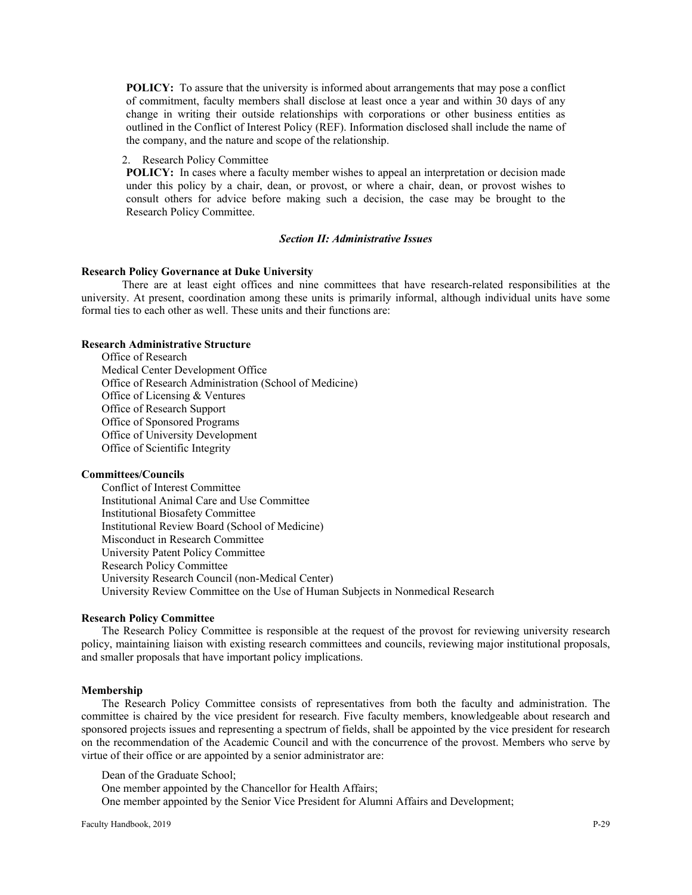**POLICY:** To assure that the university is informed about arrangements that may pose a conflict of commitment, faculty members shall disclose at least once a year and within 30 days of any change in writing their outside relationships with corporations or other business entities as outlined in the Conflict of Interest Policy (REF). Information disclosed shall include the name of the company, and the nature and scope of the relationship.

#### 2. Research Policy Committee

**POLICY:** In cases where a faculty member wishes to appeal an interpretation or decision made under this policy by a chair, dean, or provost, or where a chair, dean, or provost wishes to consult others for advice before making such a decision, the case may be brought to the Research Policy Committee.

#### *Section II: Administrative Issues*

#### **Research Policy Governance at Duke University**

There are at least eight offices and nine committees that have research-related responsibilities at the university. At present, coordination among these units is primarily informal, although individual units have some formal ties to each other as well. These units and their functions are:

# **Research Administrative Structure**

Office of Research Medical Center Development Office Office of Research Administration (School of Medicine) Office of Licensing & Ventures Office of Research Support Office of Sponsored Programs Office of University Development Office of Scientific Integrity

#### **Committees/Councils**

Conflict of Interest Committee Institutional Animal Care and Use Committee Institutional Biosafety Committee Institutional Review Board (School of Medicine) Misconduct in Research Committee University Patent Policy Committee Research Policy Committee University Research Council (non-Medical Center) University Review Committee on the Use of Human Subjects in Nonmedical Research

#### **Research Policy Committee**

The Research Policy Committee is responsible at the request of the provost for reviewing university research policy, maintaining liaison with existing research committees and councils, reviewing major institutional proposals, and smaller proposals that have important policy implications.

#### **Membership**

The Research Policy Committee consists of representatives from both the faculty and administration. The committee is chaired by the vice president for research. Five faculty members, knowledgeable about research and sponsored projects issues and representing a spectrum of fields, shall be appointed by the vice president for research on the recommendation of the Academic Council and with the concurrence of the provost. Members who serve by virtue of their office or are appointed by a senior administrator are:

Dean of the Graduate School;

One member appointed by the Chancellor for Health Affairs;

One member appointed by the Senior Vice President for Alumni Affairs and Development;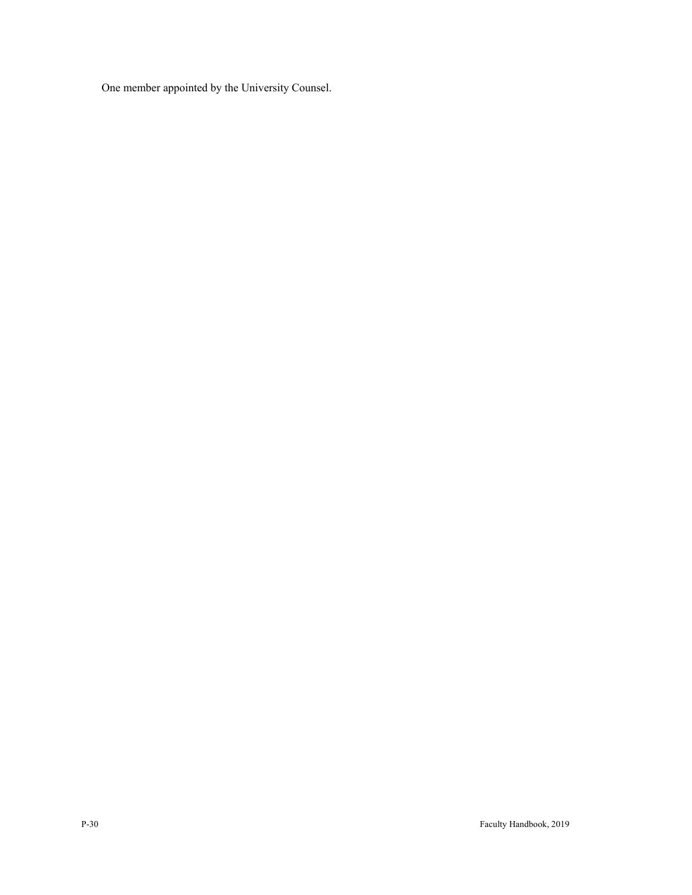One member appointed by the University Counsel.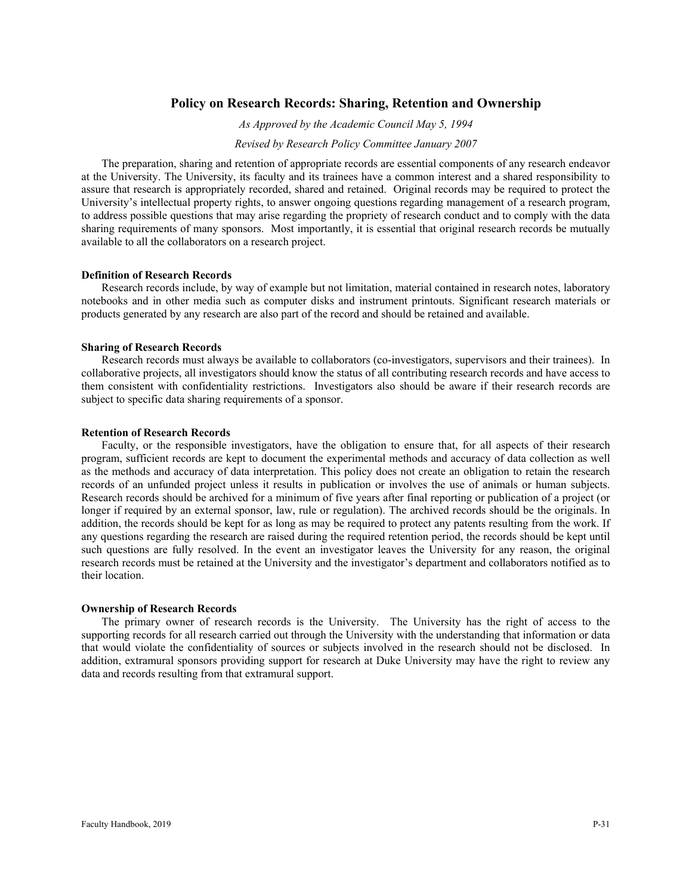# **Policy on Research Records: Sharing, Retention and Ownership**

*As Approved by the Academic Council May 5, 1994*

*Revised by Research Policy Committee January 2007*

The preparation, sharing and retention of appropriate records are essential components of any research endeavor at the University. The University, its faculty and its trainees have a common interest and a shared responsibility to assure that research is appropriately recorded, shared and retained. Original records may be required to protect the University's intellectual property rights, to answer ongoing questions regarding management of a research program, to address possible questions that may arise regarding the propriety of research conduct and to comply with the data sharing requirements of many sponsors. Most importantly, it is essential that original research records be mutually available to all the collaborators on a research project.

#### **Definition of Research Records**

Research records include, by way of example but not limitation, material contained in research notes, laboratory notebooks and in other media such as computer disks and instrument printouts. Significant research materials or products generated by any research are also part of the record and should be retained and available.

## **Sharing of Research Records**

Research records must always be available to collaborators (co-investigators, supervisors and their trainees). In collaborative projects, all investigators should know the status of all contributing research records and have access to them consistent with confidentiality restrictions. Investigators also should be aware if their research records are subject to specific data sharing requirements of a sponsor.

#### **Retention of Research Records**

Faculty, or the responsible investigators, have the obligation to ensure that, for all aspects of their research program, sufficient records are kept to document the experimental methods and accuracy of data collection as well as the methods and accuracy of data interpretation. This policy does not create an obligation to retain the research records of an unfunded project unless it results in publication or involves the use of animals or human subjects. Research records should be archived for a minimum of five years after final reporting or publication of a project (or longer if required by an external sponsor, law, rule or regulation). The archived records should be the originals. In addition, the records should be kept for as long as may be required to protect any patents resulting from the work. If any questions regarding the research are raised during the required retention period, the records should be kept until such questions are fully resolved. In the event an investigator leaves the University for any reason, the original research records must be retained at the University and the investigator's department and collaborators notified as to their location.

### **Ownership of Research Records**

The primary owner of research records is the University. The University has the right of access to the supporting records for all research carried out through the University with the understanding that information or data that would violate the confidentiality of sources or subjects involved in the research should not be disclosed. In addition, extramural sponsors providing support for research at Duke University may have the right to review any data and records resulting from that extramural support.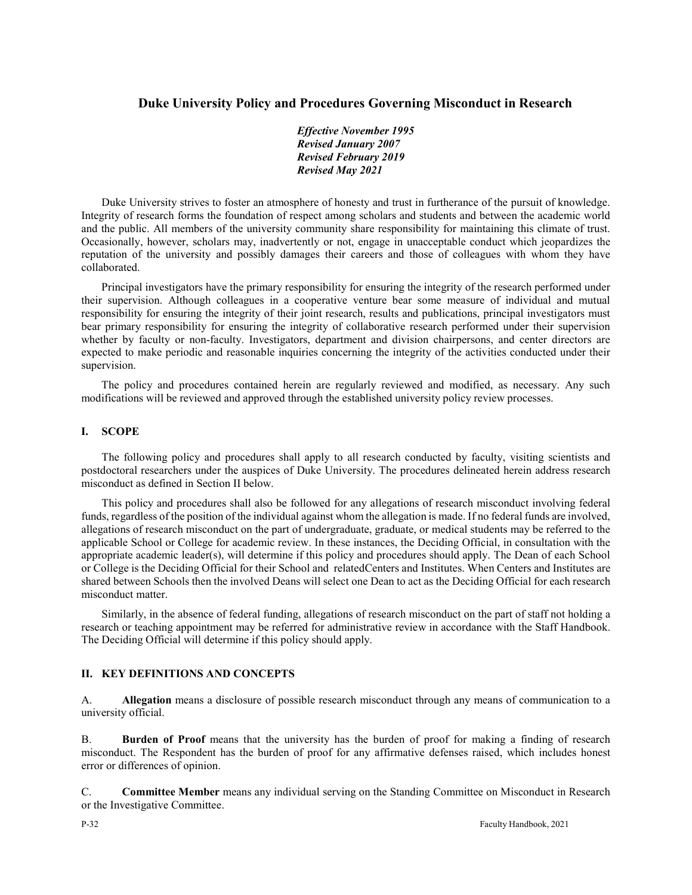# **Duke University Policy and Procedures Governing Misconduct in Research**

*Effective November 1995 Revised January 2007 Revised February 2019 Revised May 2021* 

Duke University strives to foster an atmosphere of honesty and trust in furtherance of the pursuit of knowledge. Integrity of research forms the foundation of respect among scholars and students and between the academic world and the public. All members of the university community share responsibility for maintaining this climate of trust. Occasionally, however, scholars may, inadvertently or not, engage in unacceptable conduct which jeopardizes the reputation of the university and possibly damages their careers and those of colleagues with whom they have collaborated.

Principal investigators have the primary responsibility for ensuring the integrity of the research performed under their supervision. Although colleagues in a cooperative venture bear some measure of individual and mutual responsibility for ensuring the integrity of their joint research, results and publications, principal investigators must bear primary responsibility for ensuring the integrity of collaborative research performed under their supervision whether by faculty or non-faculty. Investigators, department and division chairpersons, and center directors are expected to make periodic and reasonable inquiries concerning the integrity of the activities conducted under their supervision.

The policy and procedures contained herein are regularly reviewed and modified, as necessary. Any such modifications will be reviewed and approved through the established university policy review processes.

#### **I. SCOPE**

The following policy and procedures shall apply to all research conducted by faculty, visiting scientists and postdoctoral researchers under the auspices of Duke University. The procedures delineated herein address research misconduct as defined in Section II below.

This policy and procedures shall also be followed for any allegations of research misconduct involving federal funds, regardless of the position of the individual against whom the allegation is made. If no federal funds are involved, allegations of research misconduct on the part of undergraduate, graduate, or medical students may be referred to the applicable School or College for academic review. In these instances, the Deciding Official, in consultation with the appropriate academic leader(s), will determine if this policy and procedures should apply. The Dean of each School or College is the Deciding Official for their School and relatedCenters and Institutes. When Centers and Institutes are shared between Schools then the involved Deans will select one Dean to act as the Deciding Official for each research misconduct matter.

Similarly, in the absence of federal funding, allegations of research misconduct on the part of staff not holding a research or teaching appointment may be referred for administrative review in accordance with the Staff Handbook. The Deciding Official will determine if this policy should apply.

#### **II. KEY DEFINITIONS AND CONCEPTS**

A. **Allegation** means a disclosure of possible research misconduct through any means of communication to a university official.

B. **Burden of Proof** means that the university has the burden of proof for making a finding of research misconduct. The Respondent has the burden of proof for any affirmative defenses raised, which includes honest error or differences of opinion.

C. **Committee Member** means any individual serving on the Standing Committee on Misconduct in Research or the Investigative Committee.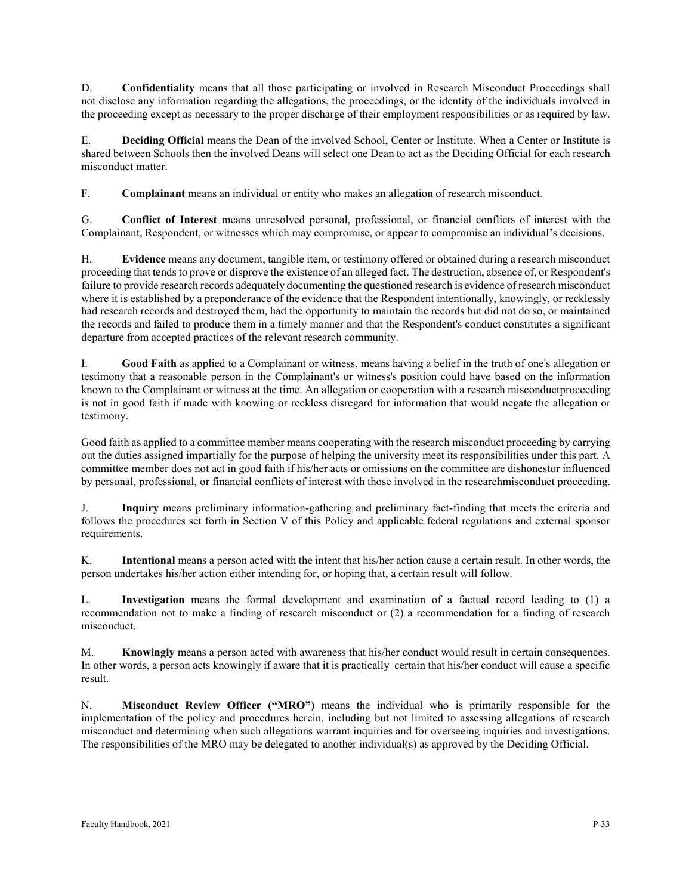D. **Confidentiality** means that all those participating or involved in Research Misconduct Proceedings shall not disclose any information regarding the allegations, the proceedings, or the identity of the individuals involved in the proceeding except as necessary to the proper discharge of their employment responsibilities or as required by law.

E. **Deciding Official** means the Dean of the involved School, Center or Institute. When a Center or Institute is shared between Schools then the involved Deans will select one Dean to act as the Deciding Official for each research misconduct matter.

F. **Complainant** means an individual or entity who makes an allegation of research misconduct.

G. **Conflict of Interest** means unresolved personal, professional, or financial conflicts of interest with the [Complainant,](https://www.law.cornell.edu/definitions/index.php?width=840&height=800&iframe=true&def_id=2ef700841e8563dbc3951f586c0f85ff&term_occur=1&term_src=Title%3A42%3AChapter%3AI%3ASubchapter%3AH%3APart%3A93%3ASubpart%3AC%3ASubjgrp%3A29%3A93.304) [Respondent,](https://www.law.cornell.edu/definitions/index.php?width=840&height=800&iframe=true&def_id=3819c56eadbf9ea9d044c04d1e9dc51d&term_occur=1&term_src=Title%3A42%3AChapter%3AI%3ASubchapter%3AH%3APart%3A93%3ASubpart%3AC%3ASubjgrp%3A29%3A93.304) or witnesses which may compromise, or appear to compromise an individual's decisions.

H. **Evidence** means any document, tangible item, or testimony offered or obtained during a research misconduct proceeding that tends to prove or disprove the existence of an alleged fact. The destruction, absence of, o[r Respondent's](https://www.law.cornell.edu/definitions/index.php?width=840&height=800&iframe=true&def_id=3819c56eadbf9ea9d044c04d1e9dc51d&term_occur=1&term_src=Title%3A42%3AChapter%3AI%3ASubchapter%3AH%3APart%3A93%3ASubpart%3AA%3A93.106) failure to provid[e research records a](https://www.law.cornell.edu/definitions/index.php?width=840&height=800&iframe=true&def_id=bb681964e62cb28ae6c2117e718417f9&term_occur=1&term_src=Title%3A42%3AChapter%3AI%3ASubchapter%3AH%3APart%3A93%3ASubpart%3AA%3A93.106)dequately documenting the questione[d research i](https://www.law.cornell.edu/definitions/index.php?width=840&height=800&iframe=true&def_id=8705bf38d7bec3d13ee2a9944eb17122&term_occur=1&term_src=Title%3A42%3AChapter%3AI%3ASubchapter%3AH%3APart%3A93%3ASubpart%3AA%3A93.106)[s evidence o](https://www.law.cornell.edu/definitions/index.php?width=840&height=800&iframe=true&def_id=3a41da0511144eb289a65f1fa7616c47&term_occur=1&term_src=Title%3A42%3AChapter%3AI%3ASubchapter%3AH%3APart%3A93%3ASubpart%3AA%3A93.106)f [research misconduct](https://www.law.cornell.edu/definitions/index.php?width=840&height=800&iframe=true&def_id=1d41ddcb9a1851a1f7e02b51666a2134&term_occur=2&term_src=Title%3A42%3AChapter%3AI%3ASubchapter%3AH%3APart%3A93%3ASubpart%3AA%3A93.106)  where it is established by a [preponderance of the evidence t](https://www.law.cornell.edu/definitions/index.php?width=840&height=800&iframe=true&def_id=40a84721bed72242b4bb66f7b2a2c0e2&term_occur=2&term_src=Title%3A42%3AChapter%3AI%3ASubchapter%3AH%3APart%3A93%3ASubpart%3AA%3A93.106)hat the [Respondent i](https://www.law.cornell.edu/definitions/index.php?width=840&height=800&iframe=true&def_id=3819c56eadbf9ea9d044c04d1e9dc51d&term_occur=2&term_src=Title%3A42%3AChapter%3AI%3ASubchapter%3AH%3APart%3A93%3ASubpart%3AA%3A93.106)ntentionally, knowingly, or recklessly had [research records a](https://www.law.cornell.edu/definitions/index.php?width=840&height=800&iframe=true&def_id=bb681964e62cb28ae6c2117e718417f9&term_occur=2&term_src=Title%3A42%3AChapter%3AI%3ASubchapter%3AH%3APart%3A93%3ASubpart%3AA%3A93.106)nd destroyed them, had the opportunity to maintain the records but did not do so, or maintained the records and failed to produce them in a timely manner and that the [Respondent's](https://www.law.cornell.edu/definitions/index.php?width=840&height=800&iframe=true&def_id=3819c56eadbf9ea9d044c04d1e9dc51d&term_occur=3&term_src=Title%3A42%3AChapter%3AI%3ASubchapter%3AH%3APart%3A93%3ASubpart%3AA%3A93.106) conduct constitutes a significant departure from accepted practices of the relevant [research](https://www.law.cornell.edu/definitions/index.php?width=840&height=800&iframe=true&def_id=8705bf38d7bec3d13ee2a9944eb17122&term_occur=2&term_src=Title%3A42%3AChapter%3AI%3ASubchapter%3AH%3APart%3A93%3ASubpart%3AA%3A93.106) community.

I. **Good Faith** as applied to a [Complainant o](https://www.law.cornell.edu/definitions/index.php?width=840&height=800&iframe=true&def_id=2ef700841e8563dbc3951f586c0f85ff&term_occur=1&term_src=Title%3A42%3AChapter%3AI%3ASubchapter%3AH%3APart%3A93%3ASubpart%3AB%3A93.210)r witness, means having a belief in the truth of one's [allegation o](https://www.law.cornell.edu/definitions/index.php?width=840&height=800&iframe=true&def_id=f7b7c6950fea837b1de73758d393be01&term_occur=1&term_src=Title%3A42%3AChapter%3AI%3ASubchapter%3AH%3APart%3A93%3ASubpart%3AB%3A93.210)r testimony that a reasonable [person i](https://www.law.cornell.edu/definitions/index.php?width=840&height=800&iframe=true&def_id=5d8e42e7c20c0b706512f01397552b9a&term_occur=1&term_src=Title%3A42%3AChapter%3AI%3ASubchapter%3AH%3APart%3A93%3ASubpart%3AB%3A93.210)n the [Complainant's](https://www.law.cornell.edu/definitions/index.php?width=840&height=800&iframe=true&def_id=2ef700841e8563dbc3951f586c0f85ff&term_occur=3&term_src=Title%3A42%3AChapter%3AI%3ASubchapter%3AH%3APart%3A93%3ASubpart%3AB%3A93.210) or witness's position could have based on the information known to the [Complainant](https://www.law.cornell.edu/definitions/index.php?width=840&height=800&iframe=true&def_id=2ef700841e8563dbc3951f586c0f85ff&term_occur=2&term_src=Title%3A42%3AChapter%3AI%3ASubchapter%3AH%3APart%3A93%3ASubpart%3AB%3A93.210) or witness at the time. An [allegation](https://www.law.cornell.edu/definitions/index.php?width=840&height=800&iframe=true&def_id=f7b7c6950fea837b1de73758d393be01&term_occur=2&term_src=Title%3A42%3AChapter%3AI%3ASubchapter%3AH%3APart%3A93%3ASubpart%3AB%3A93.210) or cooperation with a research [misconductproceeding](https://www.law.cornell.edu/definitions/index.php?width=840&height=800&iframe=true&def_id=06cdbebf3f0b63637450812e8fc2d1e3&term_occur=1&term_src=Title%3A42%3AChapter%3AI%3ASubchapter%3AH%3APart%3A93%3ASubpart%3AB%3A93.210)  is not in [good faith i](https://www.law.cornell.edu/definitions/index.php?width=840&height=800&iframe=true&def_id=45f7082d33aa0a432811709167d3a6f0&term_occur=2&term_src=Title%3A42%3AChapter%3AI%3ASubchapter%3AH%3APart%3A93%3ASubpart%3AB%3A93.210)f made with knowing or reckless disregard for information that would negate the [allegation](https://www.law.cornell.edu/definitions/index.php?width=840&height=800&iframe=true&def_id=f7b7c6950fea837b1de73758d393be01&term_occur=3&term_src=Title%3A42%3AChapter%3AI%3ASubchapter%3AH%3APart%3A93%3ASubpart%3AB%3A93.210) or testimony.

Good faith as applied to a committee member means cooperating with the research misconduct proceeding by carrying out the duties assigned impartially for the purpose of helping the university meet its responsibilities under this part. A committee member does not act in good faith if his/her acts or omissions on the committee are dishonestor influenced by personal, professional, or financial conflicts of interest with those involved in the researchmisconduct proceeding.

J. **Inquiry** means preliminary information-gathering and preliminary fact-finding that meets the criteria and follows the procedures set forth in Section V of this Policy and applicable federal regulations and external sponsor requirements.

K. **Intentional** means a person acted with the intent that his/her action cause a certain result. In other words, the person undertakes his/her action either intending for, or hoping that, a certain result will follow.

L. **Investigation** means the formal development and examination of a factual record leading to (1) a recommendation not to make a finding of research misconduct or (2) a recommendation for a finding of research misconduct.

M. **Knowingly** means a person acted with awareness that his/her conduct would result in certain consequences. In other words, a person acts knowingly if aware that it is practically certain that his/her conduct will cause a specific result.

N. **Misconduct Review Officer ("MRO")** means the individual who is primarily responsible for the implementation of the policy and procedures herein, including but not limited to assessing allegations of research misconduct and determining when such allegations warrant inquiries and for overseeing inquiries and investigations. The responsibilities of the MRO may be delegated to another individual(s) as approved by the Deciding Official.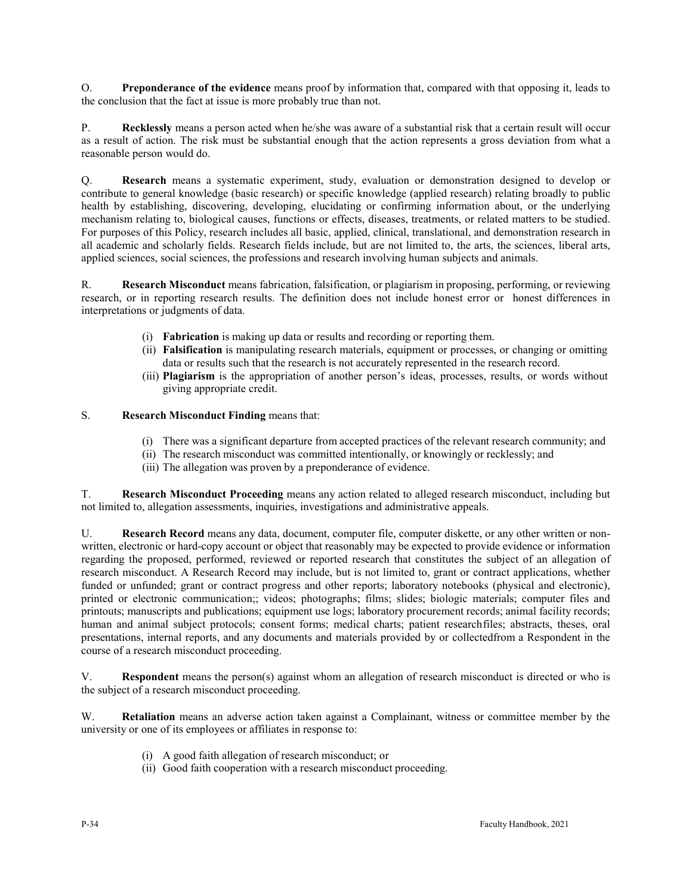O. **Preponderance of the evidence** means proof by information that, compared with that opposing it, leads to the conclusion that the fact at issue is more probably true than not.

P. **Recklessly** means a person acted when he/she was aware of a substantial risk that a certain result will occur as a result of action. The risk must be substantial enough that the action represents a gross deviation from what a reasonable person would do.

Q. **Research** means a systematic experiment, study, evaluation or demonstration designed to develop or contribute to general knowledge (basic research) or specific knowledge (applied research) relating broadly to public health by establishing, discovering, developing, elucidating or confirming information about, or the underlying mechanism relating to, biological causes, functions or effects, diseases, treatments, or related matters to be studied. For purposes of this Policy, research includes all basic, applied, clinical, translational, and demonstration research in all academic and scholarly fields. Research fields include, but are not limited to, the arts, the sciences, liberal arts, applied sciences, social sciences, the professions and research involving human subjects and animals.

R. **Research Misconduct** means fabrication, falsification, or plagiarism in proposing, performing, or reviewing research, or in reporting research results. The definition does not include honest error or honest differences in interpretations or judgments of data.

- (i) **Fabrication** is making up data or results and recording or reporting them.
- (ii) **Falsification** is manipulating research materials, equipment or processes, or changing or omitting data or results such that the research is not accurately represented in the research record.
- (iii) **Plagiarism** is the appropriation of another person's ideas, processes, results, or words without giving appropriate credit.

# S. **Research Misconduct Finding** means that:

- (i) There was a significant departure from accepted practices of the relevant research community; and
- (ii) The research misconduct was committed intentionally, or knowingly or recklessly; and
- (iii) The allegation was proven by a preponderance of evidence.

T. **Research Misconduct Proceeding** means any action related to alleged research misconduct, including but not limited to, allegation assessments, inquiries, investigations and administrative appeals.

U. **Research Record** means any data, document, computer file, computer diskette, or any other written or nonwritten, electronic or hard-copy account or object that reasonably may be expected to provide evidence or information regarding the proposed, performed, reviewed or reported research that constitutes the subject of an allegation of research misconduct. A Research Record may include, but is not limited to, grant or contract applications, whether funded or unfunded; grant or contract progress and other reports; laboratory notebooks (physical and electronic), printed or electronic communication;; videos; photographs; films; slides; biologic materials; computer files and printouts; manuscripts and publications; equipment use logs; laboratory procurement records; animal facility records; human and animal subject protocols; consent forms; medical charts; patient researchfiles; abstracts, theses, oral presentations, internal reports, and any documents and materials provided by or collectedfrom a Respondent in the course of a research misconduct proceeding.

V. **Respondent** means the person(s) against whom an allegation of research misconduct is directed or who is the subject of a research misconduct proceeding.

W. **Retaliation** means an adverse action taken against a Complainant, witness or committee member by the university or one of its employees or affiliates in response to:

- (i) A good faith allegation of research misconduct; or
- (ii) Good faith cooperation with a research misconduct proceeding.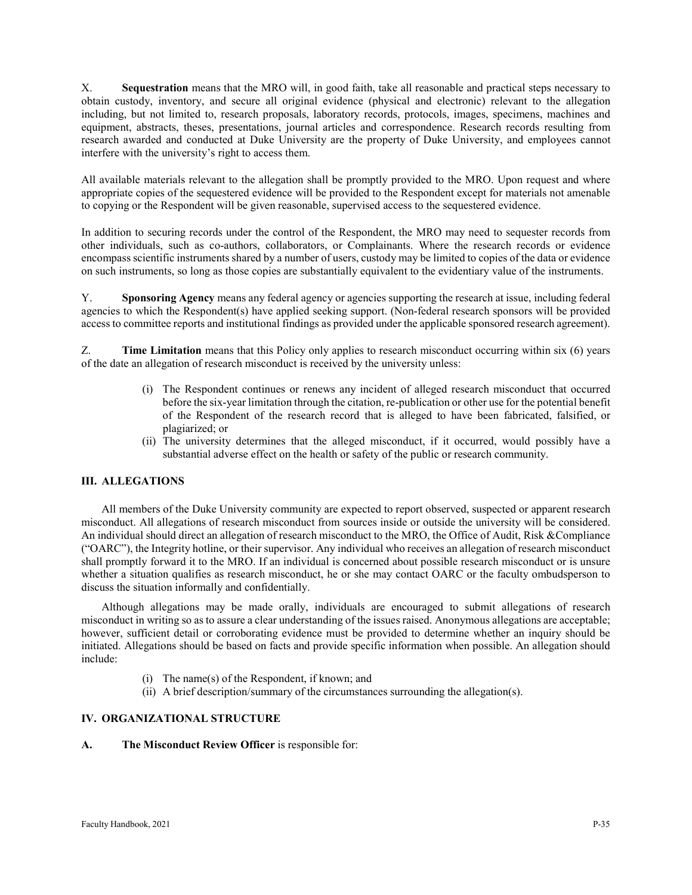X. **Sequestration** means that the MRO will, in good faith, take all reasonable and practical steps necessary to obtain custody, inventory, and secure all original evidence (physical and electronic) relevant to the allegation including, but not limited to, research proposals, laboratory records, protocols, images, specimens, machines and equipment, abstracts, theses, presentations, journal articles and correspondence. Research records resulting from research awarded and conducted at Duke University are the property of Duke University, and employees cannot interfere with the university's right to access them.

All available materials relevant to the allegation shall be promptly provided to the MRO. Upon request and where appropriate copies of the sequestered evidence will be provided to the Respondent except for materials not amenable to copying or the Respondent will be given reasonable, supervised access to the sequestered evidence.

In addition to securing records under the control of the Respondent, the MRO may need to sequester records from other individuals, such as co-authors, collaborators, or Complainants. Where the research records or evidence encompass scientific instruments shared by a number of users, custody may be limited to copies of the data or evidence on such instruments, so long as those copies are substantially equivalent to the evidentiary value of the instruments.

Y. **Sponsoring Agency** means any federal agency or agencies supporting the research at issue, including federal agencies to which the Respondent(s) have applied seeking support. (Non-federal research sponsors will be provided access to committee reports and institutional findings as provided under the applicable sponsored research agreement).

Z. **Time Limitation** means that this Policy only applies to research misconduct occurring within six (6) years of the date an allegation of research misconduct is received by the university unless:

- (i) The Respondent continues or renews any incident of alleged research misconduct that occurred before the six-year limitation through the citation, re-publication or other use for the potential benefit of the Respondent of the research record that is alleged to have been fabricated, falsified, or plagiarized; or
- (ii) The university determines that the alleged misconduct, if it occurred, would possibly have a substantial adverse effect on the health or safety of the public or research community.

# **III. ALLEGATIONS**

All members of the Duke University community are expected to report observed, suspected or apparent research misconduct. All allegations of research misconduct from sources inside or outside the university will be considered. An individual should direct an allegation of research misconduct to the MRO, the Office of Audit, Risk &Compliance ("OARC"), the Integrity hotline, or their supervisor. Any individual who receives an allegation of research misconduct shall promptly forward it to the MRO. If an individual is concerned about possible research misconduct or is unsure whether a situation qualifies as research misconduct, he or she may contact OARC or the faculty ombudsperson to discuss the situation informally and confidentially.

Although allegations may be made orally, individuals are encouraged to submit allegations of research misconduct in writing so as to assure a clear understanding of the issues raised. Anonymous allegations are acceptable; however, sufficient detail or corroborating evidence must be provided to determine whether an inquiry should be initiated. Allegations should be based on facts and provide specific information when possible. An allegation should include:

- (i) The name(s) of the Respondent, if known; and
- (ii) A brief description/summary of the circumstances surrounding the allegation(s).

#### **IV. ORGANIZATIONAL STRUCTURE**

**A. The Misconduct Review Officer** is responsible for: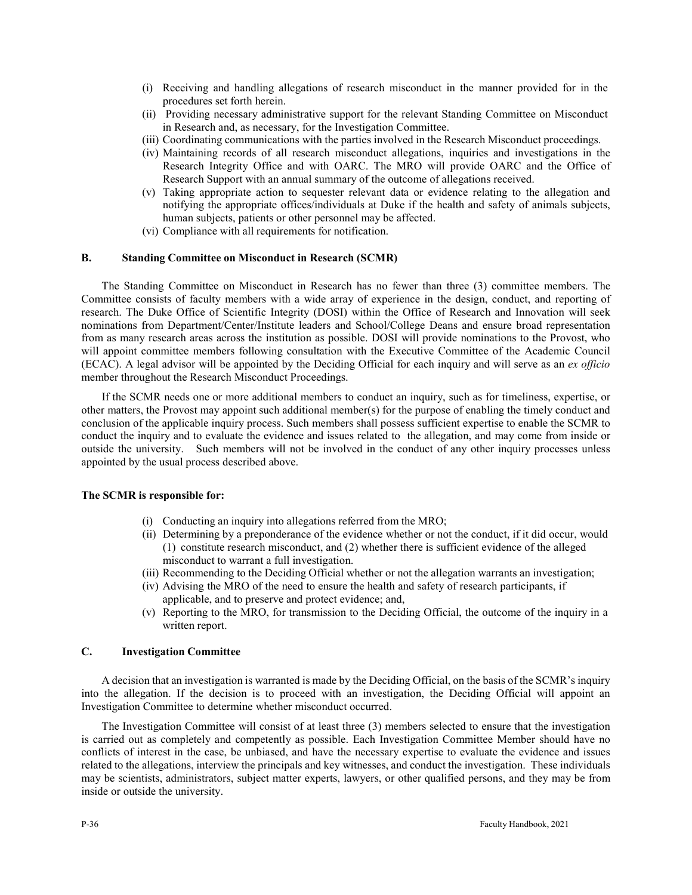- (i) Receiving and handling allegations of research misconduct in the manner provided for in the procedures set forth herein.
- (ii) Providing necessary administrative support for the relevant Standing Committee on Misconduct in Research and, as necessary, for the Investigation Committee.
- (iii) Coordinating communications with the parties involved in the Research Misconduct proceedings.
- (iv) Maintaining records of all research misconduct allegations, inquiries and investigations in the Research Integrity Office and with OARC. The MRO will provide OARC and the Office of Research Support with an annual summary of the outcome of allegations received.
- (v) Taking appropriate action to sequester relevant data or evidence relating to the allegation and notifying the appropriate offices/individuals at Duke if the health and safety of animals subjects, human subjects, patients or other personnel may be affected.
- (vi) Compliance with all requirements for notification.

#### **B. Standing Committee on Misconduct in Research (SCMR)**

The Standing Committee on Misconduct in Research has no fewer than three (3) committee members. The Committee consists of faculty members with a wide array of experience in the design, conduct, and reporting of research. The Duke Office of Scientific Integrity (DOSI) within the Office of Research and Innovation will seek nominations from Department/Center/Institute leaders and School/College Deans and ensure broad representation from as many research areas across the institution as possible. DOSI will provide nominations to the Provost, who will appoint committee members following consultation with the Executive Committee of the Academic Council (ECAC). A legal advisor will be appointed by the Deciding Official for each inquiry and will serve as an *ex officio*  member throughout the Research Misconduct Proceedings.

If the SCMR needs one or more additional members to conduct an inquiry, such as for timeliness, expertise, or other matters, the Provost may appoint such additional member(s) for the purpose of enabling the timely conduct and conclusion of the applicable inquiry process. Such members shall possess sufficient expertise to enable the SCMR to conduct the inquiry and to evaluate the evidence and issues related to the allegation, and may come from inside or outside the university. Such members will not be involved in the conduct of any other inquiry processes unless appointed by the usual process described above.

#### **The SCMR is responsible for:**

- (i) Conducting an inquiry into allegations referred from the MRO;
- (ii) Determining by a preponderance of the evidence whether or not the conduct, if it did occur, would (1) constitute research misconduct, and (2) whether there is sufficient evidence of the alleged misconduct to warrant a full investigation.
- (iii) Recommending to the Deciding Official whether or not the allegation warrants an investigation;
- (iv) Advising the MRO of the need to ensure the health and safety of research participants, if applicable, and to preserve and protect evidence; and,
- (v) Reporting to the MRO, for transmission to the Deciding Official, the outcome of the inquiry in a written report.

### **C. Investigation Committee**

A decision that an investigation is warranted is made by the Deciding Official, on the basis of the SCMR's inquiry into the allegation. If the decision is to proceed with an investigation, the Deciding Official will appoint an Investigation Committee to determine whether misconduct occurred.

The Investigation Committee will consist of at least three (3) members selected to ensure that the investigation is carried out as completely and competently as possible. Each Investigation Committee Member should have no conflicts of interest in the case, be unbiased, and have the necessary expertise to evaluate the evidence and issues related to the allegations, interview the principals and key witnesses, and conduct the investigation. These individuals may be scientists, administrators, subject matter experts, lawyers, or other qualified persons, and they may be from inside or outside the university.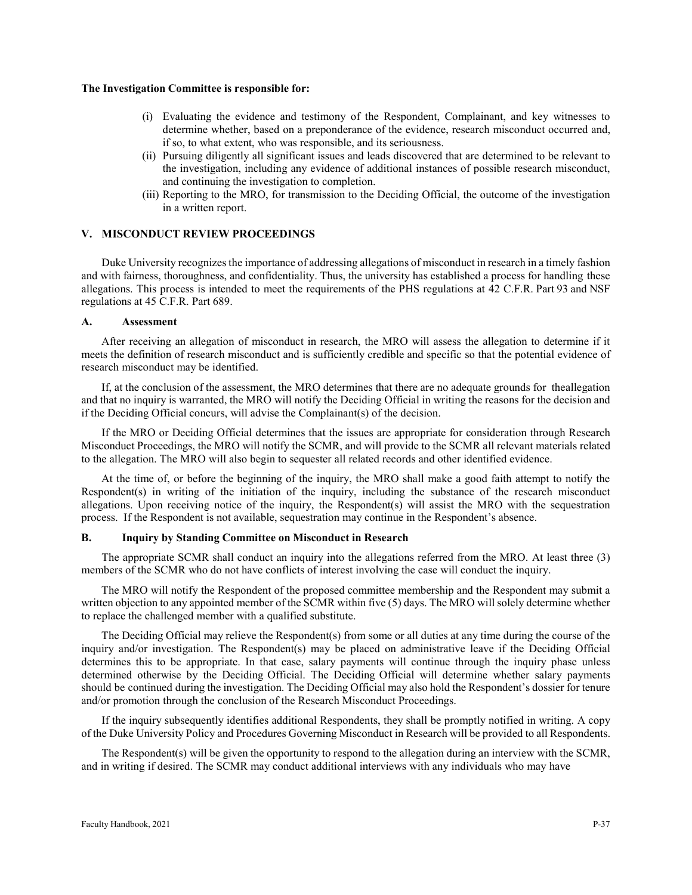#### **The Investigation Committee is responsible for:**

- (i) Evaluating the evidence and testimony of the Respondent, Complainant, and key witnesses to determine whether, based on a preponderance of the evidence, research misconduct occurred and, if so, to what extent, who was responsible, and its seriousness.
- (ii) Pursuing diligently all significant issues and leads discovered that are determined to be relevant to the investigation, including any evidence of additional instances of possible research misconduct, and continuing the investigation to completion.
- (iii) Reporting to the MRO, for transmission to the Deciding Official, the outcome of the investigation in a written report.

#### **V. MISCONDUCT REVIEW PROCEEDINGS**

Duke University recognizes the importance of addressing allegations of misconduct in research in a timely fashion and with fairness, thoroughness, and confidentiality. Thus, the university has established a process for handling these allegations. This process is intended to meet the requirements of the PHS regulations at 42 C.F.R. Part 93 and NSF regulations at 45 C.F.R. Part 689.

#### **A. Assessment**

After receiving an allegation of misconduct in research, the MRO will assess the allegation to determine if it meets the definition of research misconduct and is sufficiently credible and specific so that the potential evidence of research misconduct may be identified.

If, at the conclusion of the assessment, the MRO determines that there are no adequate grounds for theallegation and that no inquiry is warranted, the MRO will notify the Deciding Official in writing the reasons for the decision and if the Deciding Official concurs, will advise the Complainant(s) of the decision.

If the MRO or Deciding Official determines that the issues are appropriate for consideration through Research Misconduct Proceedings, the MRO will notify the SCMR, and will provide to the SCMR all relevant materials related to the allegation. The MRO will also begin to sequester all related records and other identified evidence.

At the time of, or before the beginning of the inquiry, the MRO shall make a good faith attempt to notify the Respondent(s) in writing of the initiation of the inquiry, including the substance of the research misconduct allegations. Upon receiving notice of the inquiry, the Respondent(s) will assist the MRO with the sequestration process. If the Respondent is not available, sequestration may continue in the Respondent's absence.

#### **B. Inquiry by Standing Committee on Misconduct in Research**

The appropriate SCMR shall conduct an inquiry into the allegations referred from the MRO. At least three (3) members of the SCMR who do not have conflicts of interest involving the case will conduct the inquiry.

The MRO will notify the Respondent of the proposed committee membership and the Respondent may submit a written objection to any appointed member of the SCMR within five (5) days. The MRO will solely determine whether to replace the challenged member with a qualified substitute.

The Deciding Official may relieve the Respondent(s) from some or all duties at any time during the course of the inquiry and/or investigation. The Respondent(s) may be placed on administrative leave if the Deciding Official determines this to be appropriate. In that case, salary payments will continue through the inquiry phase unless determined otherwise by the Deciding Official. The Deciding Official will determine whether salary payments should be continued during the investigation. The Deciding Official may also hold the Respondent's dossier for tenure and/or promotion through the conclusion of the Research Misconduct Proceedings.

If the inquiry subsequently identifies additional Respondents, they shall be promptly notified in writing. A copy of the Duke University Policy and Procedures Governing Misconduct in Research will be provided to all Respondents.

The Respondent(s) will be given the opportunity to respond to the allegation during an interview with the SCMR, and in writing if desired. The SCMR may conduct additional interviews with any individuals who may have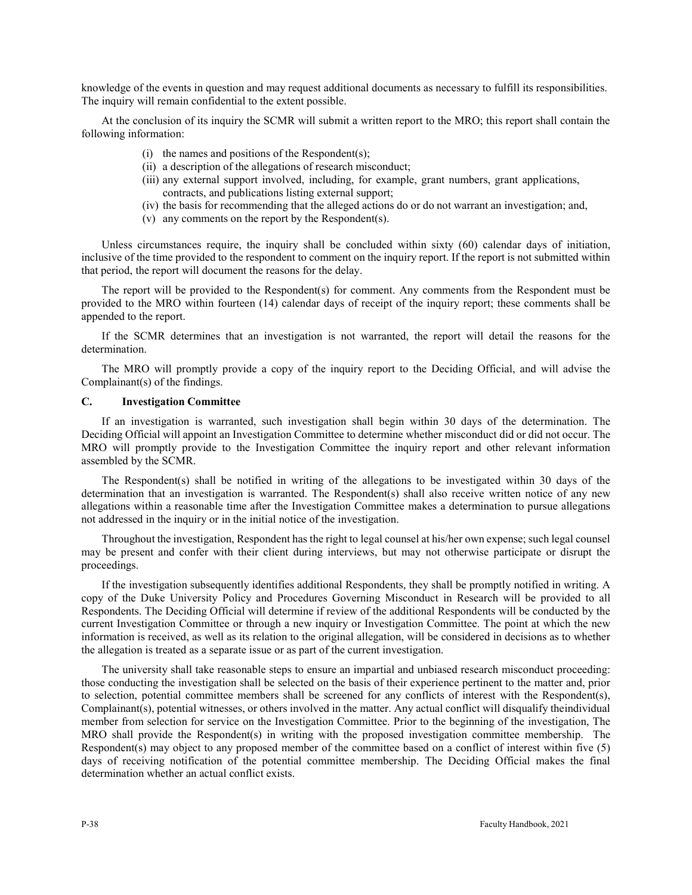knowledge of the events in question and may request additional documents as necessary to fulfill its responsibilities. The inquiry will remain confidential to the extent possible.

At the conclusion of its inquiry the SCMR will submit a written report to the MRO; this report shall contain the following information:

- (i) the names and positions of the Respondent(s);
- (ii) a description of the allegations of research misconduct;
- (iii) any external support involved, including, for example, grant numbers, grant applications, contracts, and publications listing external support;
- (iv) the basis for recommending that the alleged actions do or do not warrant an investigation; and,
- (v) any comments on the report by the Respondent(s).

Unless circumstances require, the inquiry shall be concluded within sixty (60) calendar days of initiation, inclusive of the time provided to the respondent to comment on the inquiry report. If the report is not submitted within that period, the report will document the reasons for the delay.

The report will be provided to the Respondent(s) for comment. Any comments from the Respondent must be provided to the MRO within fourteen (14) calendar days of receipt of the inquiry report; these comments shall be appended to the report.

If the SCMR determines that an investigation is not warranted, the report will detail the reasons for the determination.

The MRO will promptly provide a copy of the inquiry report to the Deciding Official, and will advise the Complainant(s) of the findings.

#### **C. Investigation Committee**

If an investigation is warranted, such investigation shall begin within 30 days of the determination. The Deciding Official will appoint an Investigation Committee to determine whether misconduct did or did not occur. The MRO will promptly provide to the Investigation Committee the inquiry report and other relevant information assembled by the SCMR.

The Respondent(s) shall be notified in writing of the allegations to be investigated within 30 days of the determination that an investigation is warranted. The Respondent(s) shall also receive written notice of any new allegations within a reasonable time after the Investigation Committee makes a determination to pursue allegations not addressed in the inquiry or in the initial notice of the investigation.

Throughout the investigation, Respondent has the right to legal counsel at his/her own expense; such legal counsel may be present and confer with their client during interviews, but may not otherwise participate or disrupt the proceedings.

If the investigation subsequently identifies additional Respondents, they shall be promptly notified in writing. A copy of the Duke University Policy and Procedures Governing Misconduct in Research will be provided to all Respondents. The Deciding Official will determine if review of the additional Respondents will be conducted by the current Investigation Committee or through a new inquiry or Investigation Committee. The point at which the new information is received, as well as its relation to the original allegation, will be considered in decisions as to whether the allegation is treated as a separate issue or as part of the current investigation.

The university shall take reasonable steps to ensure an impartial and unbiased research misconduct proceeding: those conducting the investigation shall be selected on the basis of their experience pertinent to the matter and, prior to selection, potential committee members shall be screened for any conflicts of interest with the Respondent(s), Complainant(s), potential witnesses, or others involved in the matter. Any actual conflict will disqualify theindividual member from selection for service on the Investigation Committee. Prior to the beginning of the investigation, The MRO shall provide the Respondent(s) in writing with the proposed investigation committee membership. The Respondent(s) may object to any proposed member of the committee based on a conflict of interest within five (5) days of receiving notification of the potential committee membership. The Deciding Official makes the final determination whether an actual conflict exists.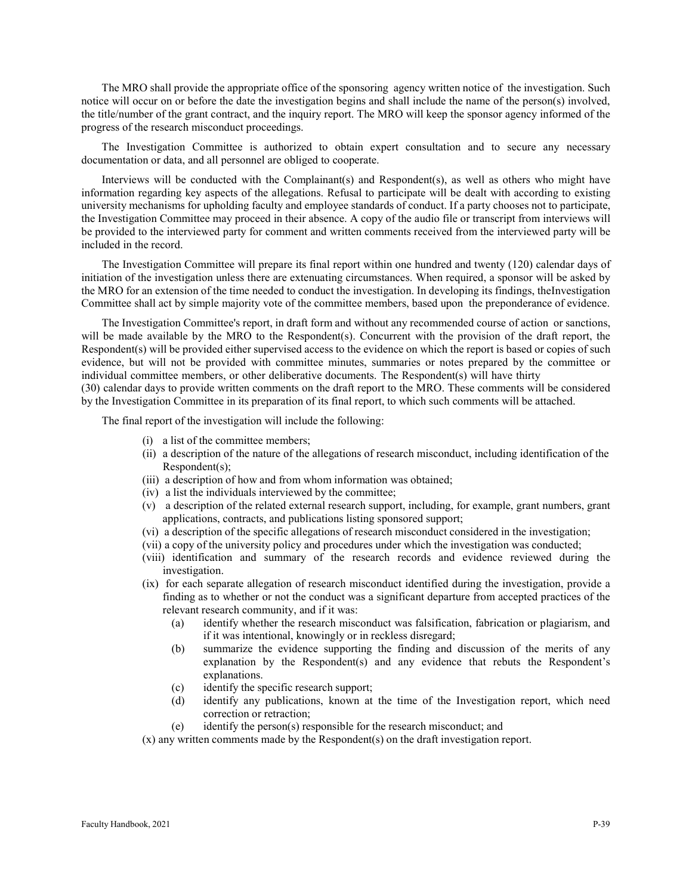The MRO shall provide the appropriate office of the sponsoring agency written notice of the investigation. Such notice will occur on or before the date the investigation begins and shall include the name of the person(s) involved, the title/number of the grant contract, and the inquiry report. The MRO will keep the sponsor agency informed of the progress of the research misconduct proceedings.

The Investigation Committee is authorized to obtain expert consultation and to secure any necessary documentation or data, and all personnel are obliged to cooperate.

Interviews will be conducted with the Complainant(s) and Respondent(s), as well as others who might have information regarding key aspects of the allegations. Refusal to participate will be dealt with according to existing university mechanisms for upholding faculty and employee standards of conduct. If a party chooses not to participate, the Investigation Committee may proceed in their absence. A copy of the audio file or transcript from interviews will be provided to the interviewed party for comment and written comments received from the interviewed party will be included in the record.

The Investigation Committee will prepare its final report within one hundred and twenty (120) calendar days of initiation of the investigation unless there are extenuating circumstances. When required, a sponsor will be asked by the MRO for an extension of the time needed to conduct the investigation. In developing its findings, theInvestigation Committee shall act by simple majority vote of the committee members, based upon the preponderance of evidence.

The Investigation Committee's report, in draft form and without any recommended course of action or sanctions, will be made available by the MRO to the Respondent(s). Concurrent with the provision of the draft report, the Respondent(s) will be provided either supervised access to the evidence on which the report is based or copies of such evidence, but will not be provided with committee minutes, summaries or notes prepared by the committee or individual committee members, or other deliberative documents. The Respondent(s) will have thirty

(30) calendar days to provide written comments on the draft report to the MRO. These comments will be considered by the Investigation Committee in its preparation of its final report, to which such comments will be attached.

The final report of the investigation will include the following:

- (i) a list of the committee members;
- (ii) a description of the nature of the allegations of research misconduct, including identification of the Respondent(s);
- (iii) a description of how and from whom information was obtained;
- (iv) a list the individuals interviewed by the committee;
- (v) a description of the related external research support, including, for example, grant numbers, grant applications, contracts, and publications listing sponsored support;
- (vi) a description of the specific allegations of research misconduct considered in the investigation;
- (vii) a copy of the university policy and procedures under which the investigation was conducted;
- (viii) identification and summary of the research records and evidence reviewed during the investigation.
- (ix) for each separate allegation of research misconduct identified during the investigation, provide a finding as to whether or not the conduct was a significant departure from accepted practices of the relevant research community, and if it was:
	- (a) identify whether the research misconduct was falsification, fabrication or plagiarism, and if it was intentional, knowingly or in reckless disregard;
	- (b) summarize the evidence supporting the finding and discussion of the merits of any explanation by the Respondent(s) and any evidence that rebuts the Respondent's explanations.
	- (c) identify the specific research support;
	- (d) identify any publications, known at the time of the Investigation report, which need correction or retraction;
	- (e) identify the person(s) responsible for the research misconduct; and

(x) any written comments made by the Respondent(s) on the draft investigation report.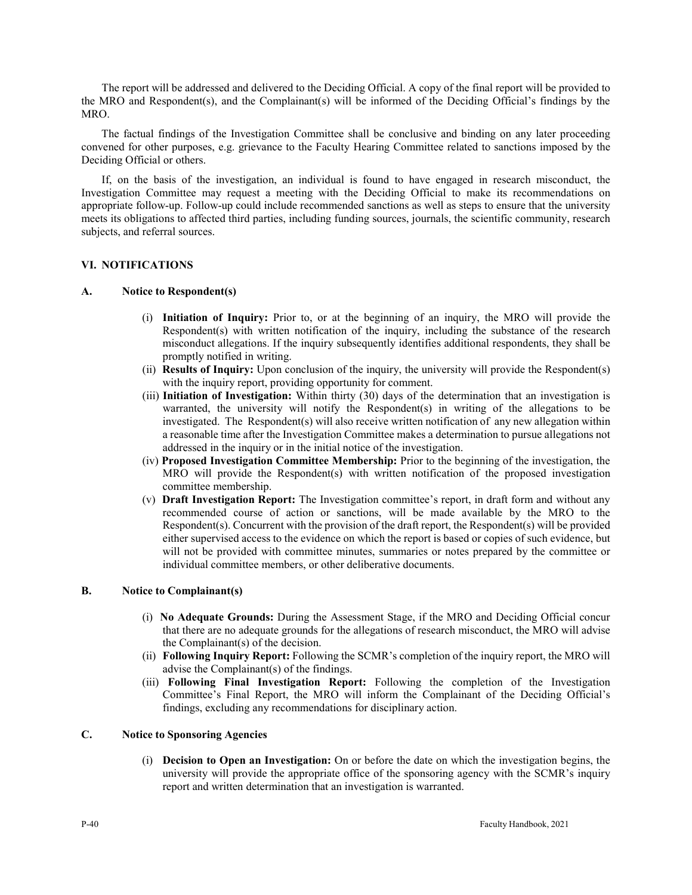The report will be addressed and delivered to the Deciding Official. A copy of the final report will be provided to the MRO and Respondent(s), and the Complainant(s) will be informed of the Deciding Official's findings by the MRO.

The factual findings of the Investigation Committee shall be conclusive and binding on any later proceeding convened for other purposes, e.g. grievance to the Faculty Hearing Committee related to sanctions imposed by the Deciding Official or others.

If, on the basis of the investigation, an individual is found to have engaged in research misconduct, the Investigation Committee may request a meeting with the Deciding Official to make its recommendations on appropriate follow-up. Follow-up could include recommended sanctions as well as steps to ensure that the university meets its obligations to affected third parties, including funding sources, journals, the scientific community, research subjects, and referral sources.

#### **VI. NOTIFICATIONS**

#### **A. Notice to Respondent(s)**

- (i) **Initiation of Inquiry:** Prior to, or at the beginning of an inquiry, the MRO will provide the Respondent(s) with written notification of the inquiry, including the substance of the research misconduct allegations. If the inquiry subsequently identifies additional respondents, they shall be promptly notified in writing.
- (ii) **Results of Inquiry:** Upon conclusion of the inquiry, the university will provide the Respondent(s) with the inquiry report, providing opportunity for comment.
- (iii) **Initiation of Investigation:** Within thirty (30) days of the determination that an investigation is warranted, the university will notify the Respondent(s) in writing of the allegations to be investigated. The Respondent(s) will also receive written notification of any new allegation within a reasonable time after the Investigation Committee makes a determination to pursue allegations not addressed in the inquiry or in the initial notice of the investigation.
- (iv) **Proposed Investigation Committee Membership:** Prior to the beginning of the investigation, the MRO will provide the Respondent(s) with written notification of the proposed investigation committee membership.
- (v) **Draft Investigation Report:** The Investigation committee's report, in draft form and without any recommended course of action or sanctions, will be made available by the MRO to the Respondent(s). Concurrent with the provision of the draft report, the Respondent(s) will be provided either supervised access to the evidence on which the report is based or copies of such evidence, but will not be provided with committee minutes, summaries or notes prepared by the committee or individual committee members, or other deliberative documents.

# **B. Notice to Complainant(s)**

- (i) **No Adequate Grounds:** During the Assessment Stage, if the MRO and Deciding Official concur that there are no adequate grounds for the allegations of research misconduct, the MRO will advise the Complainant(s) of the decision.
- (ii) **Following Inquiry Report:** Following the SCMR's completion of the inquiry report, the MRO will advise the Complainant(s) of the findings.
- (iii) **Following Final Investigation Report:** Following the completion of the Investigation Committee's Final Report, the MRO will inform the Complainant of the Deciding Official's findings, excluding any recommendations for disciplinary action.

# **C. Notice to Sponsoring Agencies**

(i) **Decision to Open an Investigation:** On or before the date on which the investigation begins, the university will provide the appropriate office of the sponsoring agency with the SCMR's inquiry report and written determination that an investigation is warranted.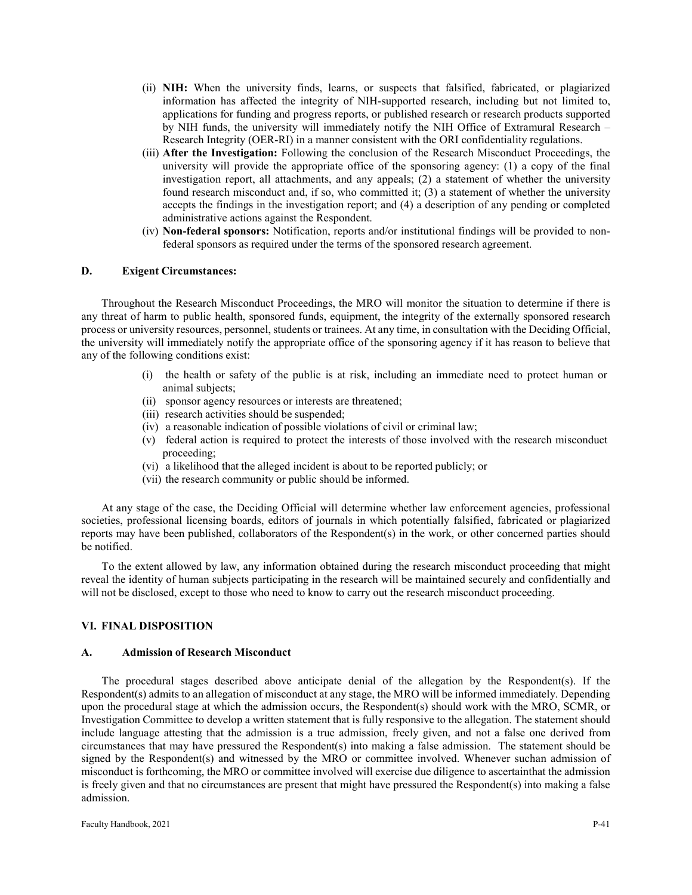- (ii) **NIH:** When the university finds, learns, or suspects that falsified, fabricated, or plagiarized information has affected the integrity of NIH-supported research, including but not limited to, applications for funding and progress reports, or published research or research products supported by NIH funds, the university will immediately notify the NIH Office of Extramural Research – Research Integrity (OER-RI) in a manner consistent with the ORI confidentiality regulations.
- (iii) **After the Investigation:** Following the conclusion of the Research Misconduct Proceedings, the university will provide the appropriate office of the sponsoring agency: (1) a copy of the final investigation report, all attachments, and any appeals; (2) a statement of whether the university found research misconduct and, if so, who committed it; (3) a statement of whether the university accepts the findings in the investigation report; and (4) a description of any pending or completed administrative actions against the Respondent.
- (iv) **Non-federal sponsors:** Notification, reports and/or institutional findings will be provided to nonfederal sponsors as required under the terms of the sponsored research agreement.

#### **D. Exigent Circumstances:**

Throughout the Research Misconduct Proceedings, the MRO will monitor the situation to determine if there is any threat of harm to public health, sponsored funds, equipment, the integrity of the externally sponsored research process or university resources, personnel, students or trainees. At any time, in consultation with the Deciding Official, the university will immediately notify the appropriate office of the sponsoring agency if it has reason to believe that any of the following conditions exist:

- (i) the health or safety of the public is at risk, including an immediate need to protect human or animal subjects;
- (ii) sponsor agency resources or interests are threatened;
- (iii) research activities should be suspended;
- (iv) a reasonable indication of possible violations of civil or criminal law;
- (v) federal action is required to protect the interests of those involved with the research misconduct proceeding;
- (vi) a likelihood that the alleged incident is about to be reported publicly; or
- (vii) the research community or public should be informed.

At any stage of the case, the Deciding Official will determine whether law enforcement agencies, professional societies, professional licensing boards, editors of journals in which potentially falsified, fabricated or plagiarized reports may have been published, collaborators of the Respondent(s) in the work, or other concerned parties should be notified.

To the extent allowed by law, any information obtained during the research misconduct proceeding that might reveal the identity of human subjects participating in the research will be maintained securely and confidentially and will not be disclosed, except to those who need to know to carry out the research misconduct proceeding.

#### **VI. FINAL DISPOSITION**

#### **A. Admission of Research Misconduct**

The procedural stages described above anticipate denial of the allegation by the Respondent(s). If the Respondent(s) admits to an allegation of misconduct at any stage, the MRO will be informed immediately. Depending upon the procedural stage at which the admission occurs, the Respondent(s) should work with the MRO, SCMR, or Investigation Committee to develop a written statement that is fully responsive to the allegation. The statement should include language attesting that the admission is a true admission, freely given, and not a false one derived from circumstances that may have pressured the Respondent(s) into making a false admission. The statement should be signed by the Respondent(s) and witnessed by the MRO or committee involved. Whenever suchan admission of misconduct is forthcoming, the MRO or committee involved will exercise due diligence to ascertainthat the admission is freely given and that no circumstances are present that might have pressured the Respondent(s) into making a false admission.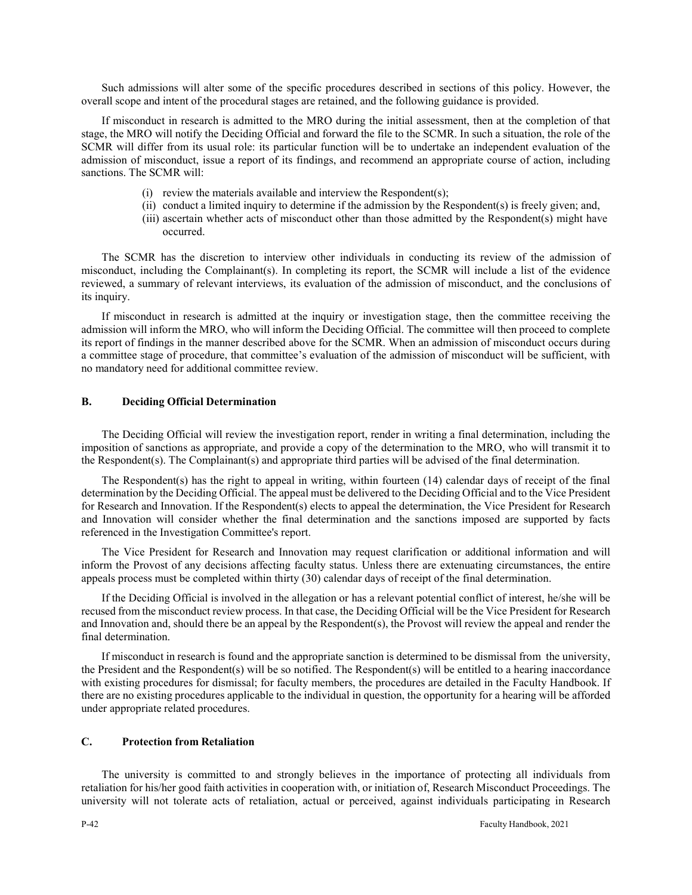Such admissions will alter some of the specific procedures described in sections of this policy. However, the overall scope and intent of the procedural stages are retained, and the following guidance is provided.

If misconduct in research is admitted to the MRO during the initial assessment, then at the completion of that stage, the MRO will notify the Deciding Official and forward the file to the SCMR. In such a situation, the role of the SCMR will differ from its usual role: its particular function will be to undertake an independent evaluation of the admission of misconduct, issue a report of its findings, and recommend an appropriate course of action, including sanctions. The SCMR will:

- (i) review the materials available and interview the Respondent(s);
- (ii) conduct a limited inquiry to determine if the admission by the Respondent(s) is freely given; and,
- (iii) ascertain whether acts of misconduct other than those admitted by the Respondent(s) might have occurred.

The SCMR has the discretion to interview other individuals in conducting its review of the admission of misconduct, including the Complainant(s). In completing its report, the SCMR will include a list of the evidence reviewed, a summary of relevant interviews, its evaluation of the admission of misconduct, and the conclusions of its inquiry.

If misconduct in research is admitted at the inquiry or investigation stage, then the committee receiving the admission will inform the MRO, who will inform the Deciding Official. The committee will then proceed to complete its report of findings in the manner described above for the SCMR. When an admission of misconduct occurs during a committee stage of procedure, that committee's evaluation of the admission of misconduct will be sufficient, with no mandatory need for additional committee review.

#### **B. Deciding Official Determination**

The Deciding Official will review the investigation report, render in writing a final determination, including the imposition of sanctions as appropriate, and provide a copy of the determination to the MRO, who will transmit it to the Respondent(s). The Complainant(s) and appropriate third parties will be advised of the final determination.

The Respondent(s) has the right to appeal in writing, within fourteen (14) calendar days of receipt of the final determination by the Deciding Official. The appeal must be delivered to the Deciding Official and to the Vice President for Research and Innovation. If the Respondent(s) elects to appeal the determination, the Vice President for Research and Innovation will consider whether the final determination and the sanctions imposed are supported by facts referenced in the Investigation Committee's report.

The Vice President for Research and Innovation may request clarification or additional information and will inform the Provost of any decisions affecting faculty status. Unless there are extenuating circumstances, the entire appeals process must be completed within thirty (30) calendar days of receipt of the final determination.

If the Deciding Official is involved in the allegation or has a relevant potential conflict of interest, he/she will be recused from the misconduct review process. In that case, the Deciding Official will be the Vice President for Research and Innovation and, should there be an appeal by the Respondent(s), the Provost will review the appeal and render the final determination.

If misconduct in research is found and the appropriate sanction is determined to be dismissal from the university, the President and the Respondent(s) will be so notified. The Respondent(s) will be entitled to a hearing inaccordance with existing procedures for dismissal; for faculty members, the procedures are detailed in the Faculty Handbook. If there are no existing procedures applicable to the individual in question, the opportunity for a hearing will be afforded under appropriate related procedures.

#### **C. Protection from Retaliation**

The university is committed to and strongly believes in the importance of protecting all individuals from retaliation for his/her good faith activities in cooperation with, or initiation of, Research Misconduct Proceedings. The university will not tolerate acts of retaliation, actual or perceived, against individuals participating in Research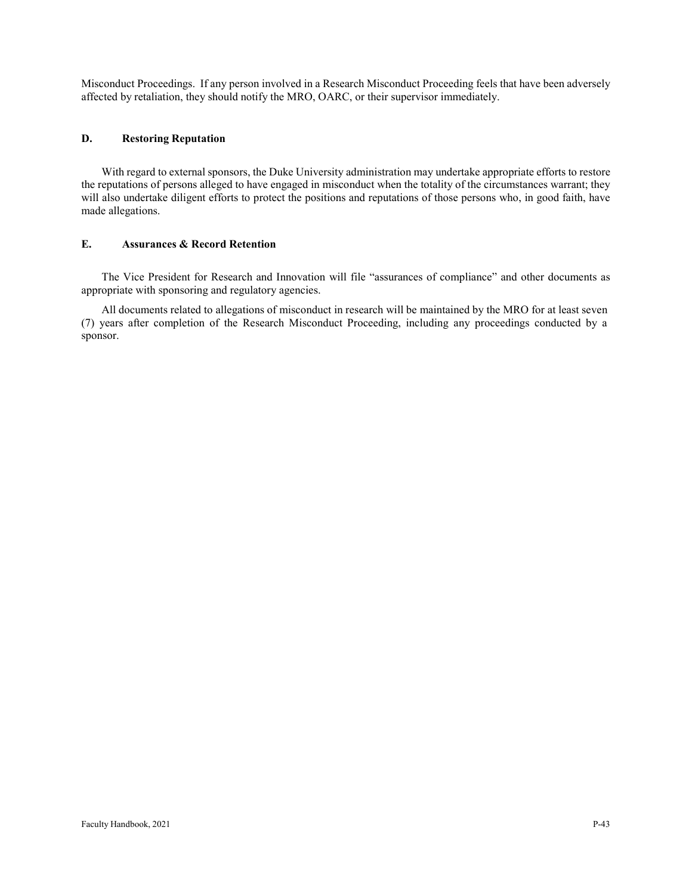Misconduct Proceedings. If any person involved in a Research Misconduct Proceeding feels that have been adversely affected by retaliation, they should notify the MRO, OARC, or their supervisor immediately.

### **D. Restoring Reputation**

With regard to external sponsors, the Duke University administration may undertake appropriate efforts to restore the reputations of persons alleged to have engaged in misconduct when the totality of the circumstances warrant; they will also undertake diligent efforts to protect the positions and reputations of those persons who, in good faith, have made allegations.

#### **E. Assurances & Record Retention**

The Vice President for Research and Innovation will file "assurances of compliance" and other documents as appropriate with sponsoring and regulatory agencies.

All documents related to allegations of misconduct in research will be maintained by the MRO for at least seven (7) years after completion of the Research Misconduct Proceeding, including any proceedings conducted by a sponsor.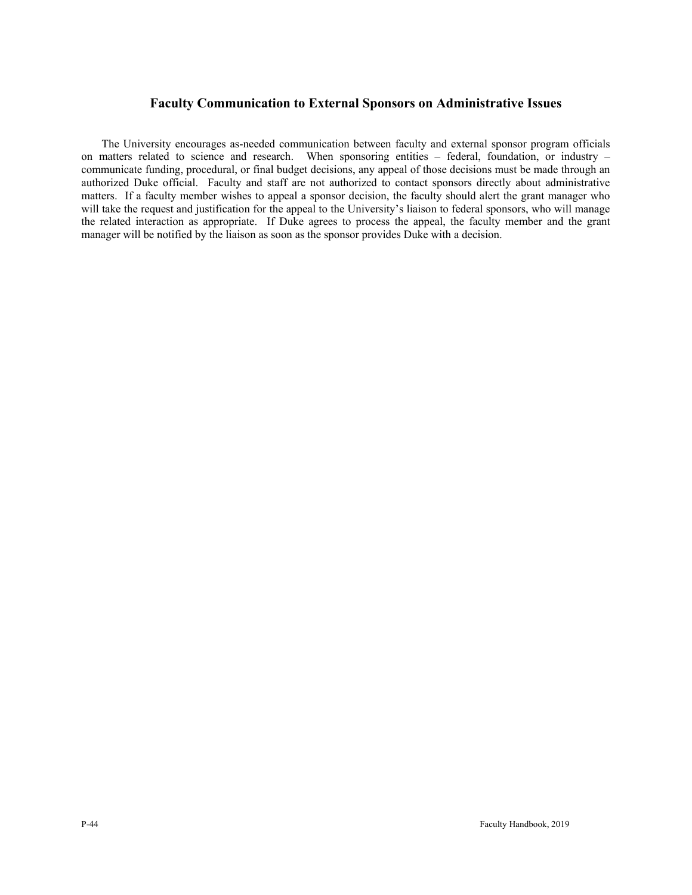# **Faculty Communication to External Sponsors on Administrative Issues**

The University encourages as-needed communication between faculty and external sponsor program officials on matters related to science and research. When sponsoring entities – federal, foundation, or industry – communicate funding, procedural, or final budget decisions, any appeal of those decisions must be made through an authorized Duke official. Faculty and staff are not authorized to contact sponsors directly about administrative matters. If a faculty member wishes to appeal a sponsor decision, the faculty should alert the grant manager who will take the request and justification for the appeal to the University's liaison to federal sponsors, who will manage the related interaction as appropriate. If Duke agrees to process the appeal, the faculty member and the grant manager will be notified by the liaison as soon as the sponsor provides Duke with a decision.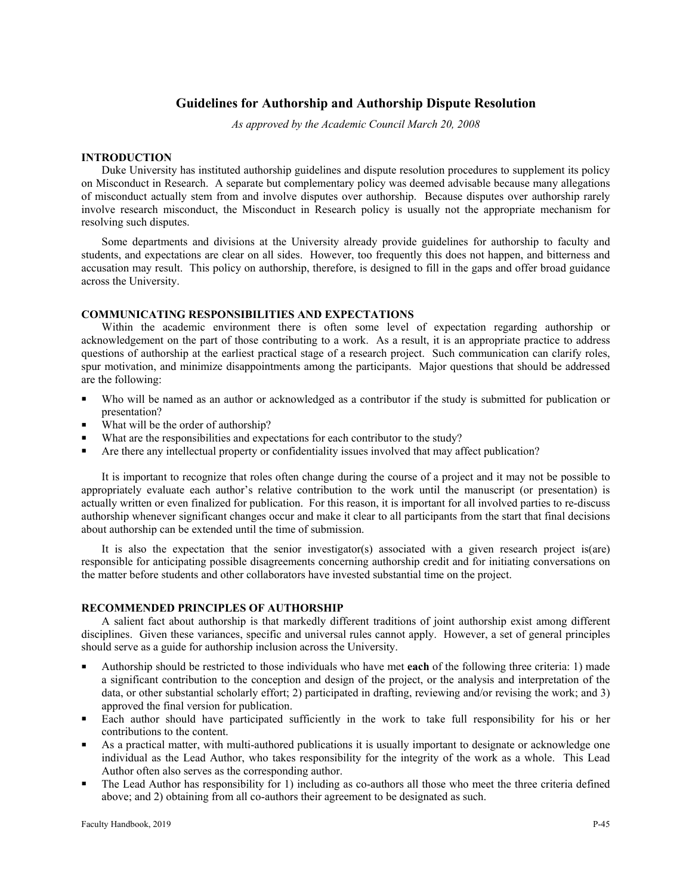# **Guidelines for Authorship and Authorship Dispute Resolution**

*As approved by the Academic Council March 20, 2008*

#### **INTRODUCTION**

Duke University has instituted authorship guidelines and dispute resolution procedures to supplement its policy on Misconduct in Research. A separate but complementary policy was deemed advisable because many allegations of misconduct actually stem from and involve disputes over authorship. Because disputes over authorship rarely involve research misconduct, the Misconduct in Research policy is usually not the appropriate mechanism for resolving such disputes.

Some departments and divisions at the University already provide guidelines for authorship to faculty and students, and expectations are clear on all sides. However, too frequently this does not happen, and bitterness and accusation may result. This policy on authorship, therefore, is designed to fill in the gaps and offer broad guidance across the University.

#### **COMMUNICATING RESPONSIBILITIES AND EXPECTATIONS**

Within the academic environment there is often some level of expectation regarding authorship or acknowledgement on the part of those contributing to a work. As a result, it is an appropriate practice to address questions of authorship at the earliest practical stage of a research project. Such communication can clarify roles, spur motivation, and minimize disappointments among the participants. Major questions that should be addressed are the following:

- Who will be named as an author or acknowledged as a contributor if the study is submitted for publication or presentation?
- What will be the order of authorship?
- What are the responsibilities and expectations for each contributor to the study?
- Are there any intellectual property or confidentiality issues involved that may affect publication?

It is important to recognize that roles often change during the course of a project and it may not be possible to appropriately evaluate each author's relative contribution to the work until the manuscript (or presentation) is actually written or even finalized for publication. For this reason, it is important for all involved parties to re-discuss authorship whenever significant changes occur and make it clear to all participants from the start that final decisions about authorship can be extended until the time of submission.

It is also the expectation that the senior investigator(s) associated with a given research project is(are) responsible for anticipating possible disagreements concerning authorship credit and for initiating conversations on the matter before students and other collaborators have invested substantial time on the project.

#### **RECOMMENDED PRINCIPLES OF AUTHORSHIP**

A salient fact about authorship is that markedly different traditions of joint authorship exist among different disciplines. Given these variances, specific and universal rules cannot apply. However, a set of general principles should serve as a guide for authorship inclusion across the University.

- Authorship should be restricted to those individuals who have met **each** of the following three criteria: 1) made a significant contribution to the conception and design of the project, or the analysis and interpretation of the data, or other substantial scholarly effort; 2) participated in drafting, reviewing and/or revising the work; and 3) approved the final version for publication.
- Each author should have participated sufficiently in the work to take full responsibility for his or her contributions to the content.
- As a practical matter, with multi-authored publications it is usually important to designate or acknowledge one individual as the Lead Author, who takes responsibility for the integrity of the work as a whole. This Lead Author often also serves as the corresponding author.
- The Lead Author has responsibility for 1) including as co-authors all those who meet the three criteria defined above; and 2) obtaining from all co-authors their agreement to be designated as such.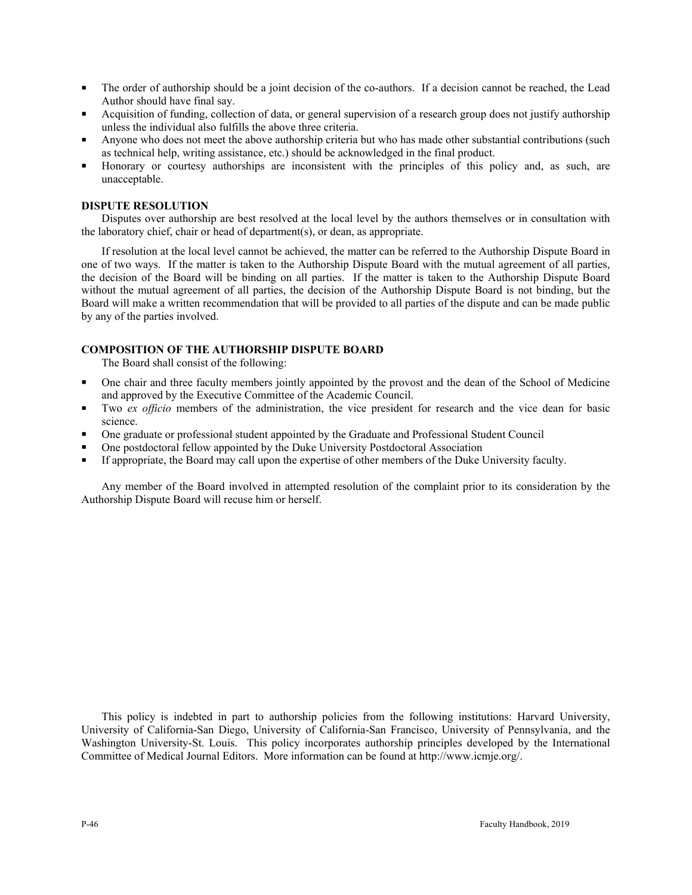- The order of authorship should be a joint decision of the co-authors. If a decision cannot be reached, the Lead Author should have final say.
- Acquisition of funding, collection of data, or general supervision of a research group does not justify authorship unless the individual also fulfills the above three criteria.
- Anyone who does not meet the above authorship criteria but who has made other substantial contributions (such as technical help, writing assistance, etc.) should be acknowledged in the final product.
- Honorary or courtesy authorships are inconsistent with the principles of this policy and, as such, are unacceptable.

# **DISPUTE RESOLUTION**

Disputes over authorship are best resolved at the local level by the authors themselves or in consultation with the laboratory chief, chair or head of department(s), or dean, as appropriate.

If resolution at the local level cannot be achieved, the matter can be referred to the Authorship Dispute Board in one of two ways. If the matter is taken to the Authorship Dispute Board with the mutual agreement of all parties, the decision of the Board will be binding on all parties. If the matter is taken to the Authorship Dispute Board without the mutual agreement of all parties, the decision of the Authorship Dispute Board is not binding, but the Board will make a written recommendation that will be provided to all parties of the dispute and can be made public by any of the parties involved.

# **COMPOSITION OF THE AUTHORSHIP DISPUTE BOARD**

The Board shall consist of the following:

- One chair and three faculty members jointly appointed by the provost and the dean of the School of Medicine and approved by the Executive Committee of the Academic Council.
- Two *ex officio* members of the administration, the vice president for research and the vice dean for basic science.
- One graduate or professional student appointed by the Graduate and Professional Student Council
- One postdoctoral fellow appointed by the Duke University Postdoctoral Association
- If appropriate, the Board may call upon the expertise of other members of the Duke University faculty.

Any member of the Board involved in attempted resolution of the complaint prior to its consideration by the Authorship Dispute Board will recuse him or herself.

This policy is indebted in part to authorship policies from the following institutions: Harvard University, University of California-San Diego, University of California-San Francisco, University of Pennsylvania, and the Washington University-St. Louis. This policy incorporates authorship principles developed by the International Committee of Medical Journal Editors. More information can be found at http://www.icmje.org/.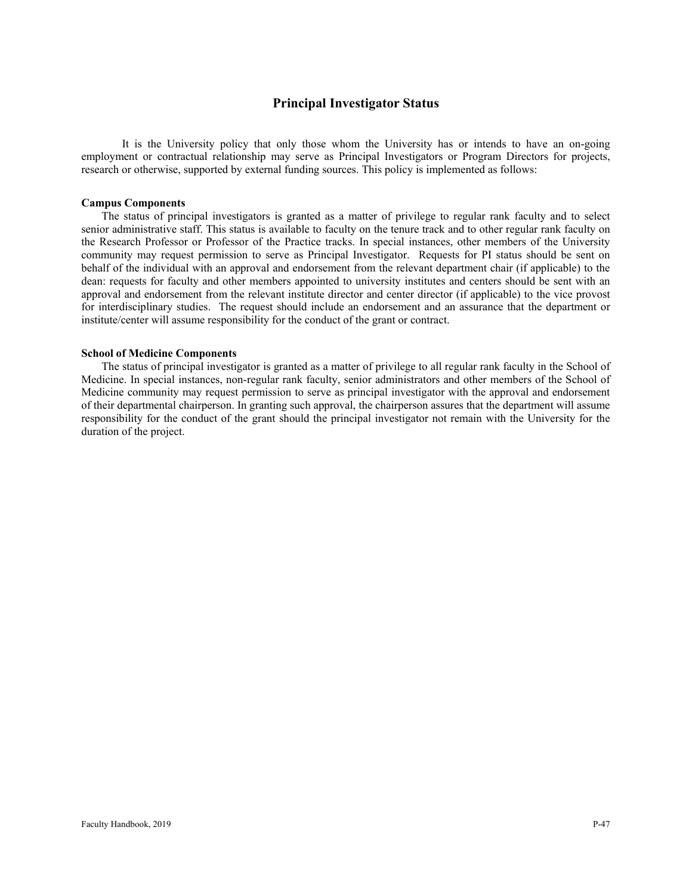# **Principal Investigator Status**

It is the University policy that only those whom the University has or intends to have an on-going employment or contractual relationship may serve as Principal Investigators or Program Directors for projects, research or otherwise, supported by external funding sources. This policy is implemented as follows:

#### **Campus Components**

The status of principal investigators is granted as a matter of privilege to regular rank faculty and to select senior administrative staff. This status is available to faculty on the tenure track and to other regular rank faculty on the Research Professor or Professor of the Practice tracks. In special instances, other members of the University community may request permission to serve as Principal Investigator. Requests for PI status should be sent on behalf of the individual with an approval and endorsement from the relevant department chair (if applicable) to the dean: requests for faculty and other members appointed to university institutes and centers should be sent with an approval and endorsement from the relevant institute director and center director (if applicable) to the vice provost for interdisciplinary studies. The request should include an endorsement and an assurance that the department or institute/center will assume responsibility for the conduct of the grant or contract.

#### **School of Medicine Components**

The status of principal investigator is granted as a matter of privilege to all regular rank faculty in the School of Medicine. In special instances, non-regular rank faculty, senior administrators and other members of the School of Medicine community may request permission to serve as principal investigator with the approval and endorsement of their departmental chairperson. In granting such approval, the chairperson assures that the department will assume responsibility for the conduct of the grant should the principal investigator not remain with the University for the duration of the project.